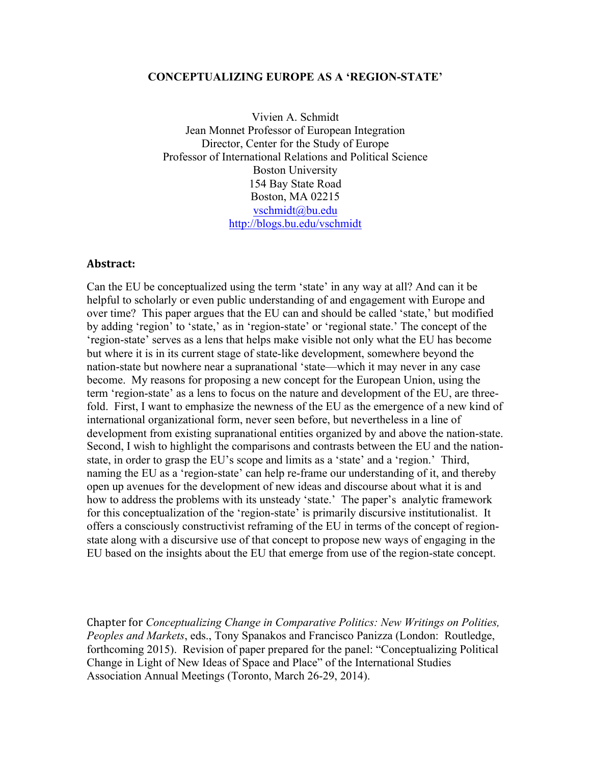## **CONCEPTUALIZING EUROPE AS A 'REGION-STATE'**

Vivien A. Schmidt Jean Monnet Professor of European Integration Director, Center for the Study of Europe Professor of International Relations and Political Science Boston University 154 Bay State Road Boston, MA 02215 vschmidt@bu.edu http://blogs.bu.edu/vschmidt

#### Abstract:

Can the EU be conceptualized using the term 'state' in any way at all? And can it be helpful to scholarly or even public understanding of and engagement with Europe and over time? This paper argues that the EU can and should be called 'state,' but modified by adding 'region' to 'state,' as in 'region-state' or 'regional state.' The concept of the 'region-state' serves as a lens that helps make visible not only what the EU has become but where it is in its current stage of state-like development, somewhere beyond the nation-state but nowhere near a supranational 'state—which it may never in any case become. My reasons for proposing a new concept for the European Union, using the term 'region-state' as a lens to focus on the nature and development of the EU, are threefold. First, I want to emphasize the newness of the EU as the emergence of a new kind of international organizational form, never seen before, but nevertheless in a line of development from existing supranational entities organized by and above the nation-state. Second, I wish to highlight the comparisons and contrasts between the EU and the nationstate, in order to grasp the EU's scope and limits as a 'state' and a 'region.' Third, naming the EU as a 'region-state' can help re-frame our understanding of it, and thereby open up avenues for the development of new ideas and discourse about what it is and how to address the problems with its unsteady 'state.' The paper's analytic framework for this conceptualization of the 'region-state' is primarily discursive institutionalist. It offers a consciously constructivist reframing of the EU in terms of the concept of regionstate along with a discursive use of that concept to propose new ways of engaging in the EU based on the insights about the EU that emerge from use of the region-state concept.

Chapter for *Conceptualizing Change in Comparative Politics: New Writings on Polities, Peoples and Markets*, eds., Tony Spanakos and Francisco Panizza (London: Routledge, forthcoming 2015). Revision of paper prepared for the panel: "Conceptualizing Political Change in Light of New Ideas of Space and Place" of the International Studies Association Annual Meetings (Toronto, March 26-29, 2014).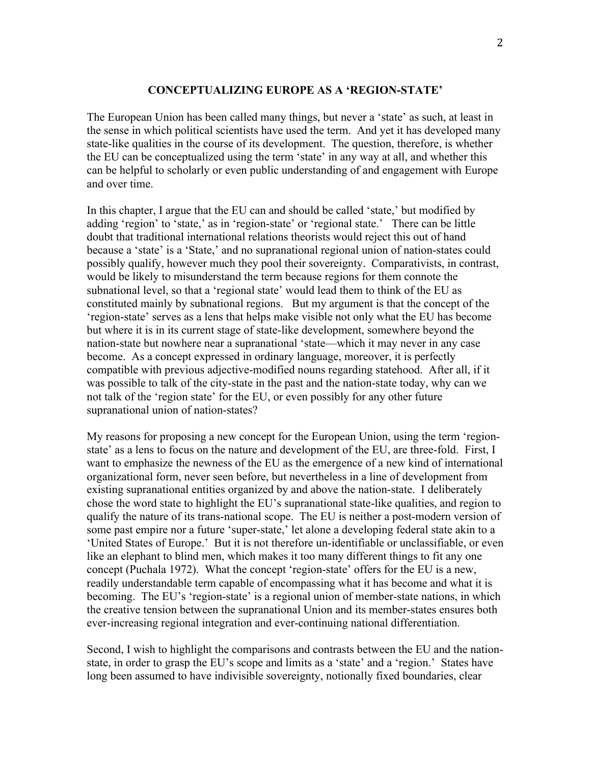## **CONCEPTUALIZING EUROPE AS A 'REGION-STATE'**

The European Union has been called many things, but never a 'state' as such, at least in the sense in which political scientists have used the term. And yet it has developed many state-like qualities in the course of its development. The question, therefore, is whether the EU can be conceptualized using the term 'state' in any way at all, and whether this can be helpful to scholarly or even public understanding of and engagement with Europe and over time.

In this chapter, I argue that the EU can and should be called 'state,' but modified by adding 'region' to 'state,' as in 'region-state' or 'regional state.' There can be little doubt that traditional international relations theorists would reject this out of hand because a 'state' is a 'State,' and no supranational regional union of nation-states could possibly qualify, however much they pool their sovereignty. Comparativists, in contrast, would be likely to misunderstand the term because regions for them connote the subnational level, so that a 'regional state' would lead them to think of the EU as constituted mainly by subnational regions. But my argument is that the concept of the 'region-state' serves as a lens that helps make visible not only what the EU has become but where it is in its current stage of state-like development, somewhere beyond the nation-state but nowhere near a supranational 'state—which it may never in any case become. As a concept expressed in ordinary language, moreover, it is perfectly compatible with previous adjective-modified nouns regarding statehood. After all, if it was possible to talk of the city-state in the past and the nation-state today, why can we not talk of the 'region state' for the EU, or even possibly for any other future supranational union of nation-states?

My reasons for proposing a new concept for the European Union, using the term 'regionstate' as a lens to focus on the nature and development of the EU, are three-fold. First, I want to emphasize the newness of the EU as the emergence of a new kind of international organizational form, never seen before, but nevertheless in a line of development from existing supranational entities organized by and above the nation-state. I deliberately chose the word state to highlight the EU's supranational state-like qualities, and region to qualify the nature of its trans-national scope. The EU is neither a post-modern version of some past empire nor a future 'super-state,' let alone a developing federal state akin to a 'United States of Europe.' But it is not therefore un-identifiable or unclassifiable, or even like an elephant to blind men, which makes it too many different things to fit any one concept (Puchala 1972). What the concept 'region-state' offers for the EU is a new, readily understandable term capable of encompassing what it has become and what it is becoming. The EU's 'region-state' is a regional union of member-state nations, in which the creative tension between the supranational Union and its member-states ensures both ever-increasing regional integration and ever-continuing national differentiation.

Second, I wish to highlight the comparisons and contrasts between the EU and the nationstate, in order to grasp the EU's scope and limits as a 'state' and a 'region.' States have long been assumed to have indivisible sovereignty, notionally fixed boundaries, clear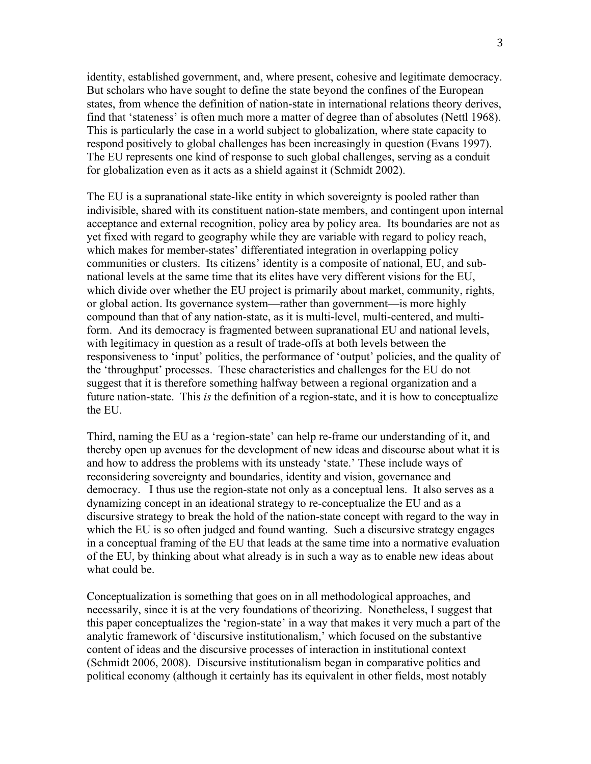identity, established government, and, where present, cohesive and legitimate democracy. But scholars who have sought to define the state beyond the confines of the European states, from whence the definition of nation-state in international relations theory derives, find that 'stateness' is often much more a matter of degree than of absolutes (Nettl 1968). This is particularly the case in a world subject to globalization, where state capacity to respond positively to global challenges has been increasingly in question (Evans 1997). The EU represents one kind of response to such global challenges, serving as a conduit for globalization even as it acts as a shield against it (Schmidt 2002).

The EU is a supranational state-like entity in which sovereignty is pooled rather than indivisible, shared with its constituent nation-state members, and contingent upon internal acceptance and external recognition, policy area by policy area. Its boundaries are not as yet fixed with regard to geography while they are variable with regard to policy reach, which makes for member-states' differentiated integration in overlapping policy communities or clusters. Its citizens' identity is a composite of national, EU, and subnational levels at the same time that its elites have very different visions for the EU, which divide over whether the EU project is primarily about market, community, rights, or global action. Its governance system—rather than government—is more highly compound than that of any nation-state, as it is multi-level, multi-centered, and multiform. And its democracy is fragmented between supranational EU and national levels, with legitimacy in question as a result of trade-offs at both levels between the responsiveness to 'input' politics, the performance of 'output' policies, and the quality of the 'throughput' processes. These characteristics and challenges for the EU do not suggest that it is therefore something halfway between a regional organization and a future nation-state. This *is* the definition of a region-state, and it is how to conceptualize the EU.

Third, naming the EU as a 'region-state' can help re-frame our understanding of it, and thereby open up avenues for the development of new ideas and discourse about what it is and how to address the problems with its unsteady 'state.' These include ways of reconsidering sovereignty and boundaries, identity and vision, governance and democracy. I thus use the region-state not only as a conceptual lens. It also serves as a dynamizing concept in an ideational strategy to re-conceptualize the EU and as a discursive strategy to break the hold of the nation-state concept with regard to the way in which the EU is so often judged and found wanting. Such a discursive strategy engages in a conceptual framing of the EU that leads at the same time into a normative evaluation of the EU, by thinking about what already is in such a way as to enable new ideas about what could be.

Conceptualization is something that goes on in all methodological approaches, and necessarily, since it is at the very foundations of theorizing. Nonetheless, I suggest that this paper conceptualizes the 'region-state' in a way that makes it very much a part of the analytic framework of 'discursive institutionalism,' which focused on the substantive content of ideas and the discursive processes of interaction in institutional context (Schmidt 2006, 2008). Discursive institutionalism began in comparative politics and political economy (although it certainly has its equivalent in other fields, most notably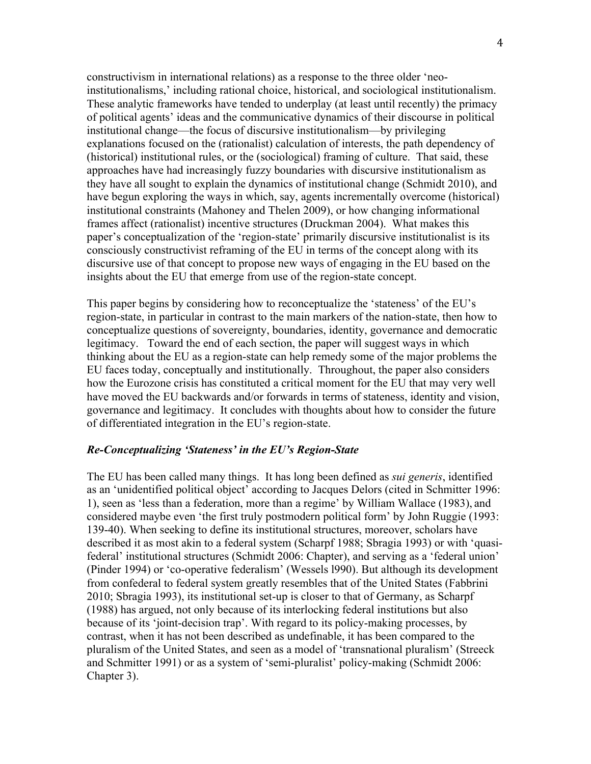constructivism in international relations) as a response to the three older 'neoinstitutionalisms,' including rational choice, historical, and sociological institutionalism. These analytic frameworks have tended to underplay (at least until recently) the primacy of political agents' ideas and the communicative dynamics of their discourse in political institutional change—the focus of discursive institutionalism—by privileging explanations focused on the (rationalist) calculation of interests, the path dependency of (historical) institutional rules, or the (sociological) framing of culture. That said, these approaches have had increasingly fuzzy boundaries with discursive institutionalism as they have all sought to explain the dynamics of institutional change (Schmidt 2010), and have begun exploring the ways in which, say, agents incrementally overcome (historical) institutional constraints (Mahoney and Thelen 2009), or how changing informational frames affect (rationalist) incentive structures (Druckman 2004). What makes this paper's conceptualization of the 'region-state' primarily discursive institutionalist is its consciously constructivist reframing of the EU in terms of the concept along with its discursive use of that concept to propose new ways of engaging in the EU based on the insights about the EU that emerge from use of the region-state concept.

This paper begins by considering how to reconceptualize the 'stateness' of the EU's region-state, in particular in contrast to the main markers of the nation-state, then how to conceptualize questions of sovereignty, boundaries, identity, governance and democratic legitimacy. Toward the end of each section, the paper will suggest ways in which thinking about the EU as a region-state can help remedy some of the major problems the EU faces today, conceptually and institutionally. Throughout, the paper also considers how the Eurozone crisis has constituted a critical moment for the EU that may very well have moved the EU backwards and/or forwards in terms of stateness, identity and vision, governance and legitimacy. It concludes with thoughts about how to consider the future of differentiated integration in the EU's region-state.

## *Re-Conceptualizing 'Stateness' in the EU's Region-State*

The EU has been called many things. It has long been defined as *sui generis*, identified as an 'unidentified political object' according to Jacques Delors (cited in Schmitter 1996: 1), seen as 'less than a federation, more than a regime' by William Wallace (1983), and considered maybe even 'the first truly postmodern political form' by John Ruggie (1993: 139-40). When seeking to define its institutional structures, moreover, scholars have described it as most akin to a federal system (Scharpf 1988; Sbragia 1993) or with 'quasifederal' institutional structures (Schmidt 2006: Chapter), and serving as a 'federal union' (Pinder 1994) or 'co-operative federalism' (Wessels l990). But although its development from confederal to federal system greatly resembles that of the United States (Fabbrini 2010; Sbragia 1993), its institutional set-up is closer to that of Germany, as Scharpf (1988) has argued, not only because of its interlocking federal institutions but also because of its 'joint-decision trap'. With regard to its policy-making processes, by contrast, when it has not been described as undefinable, it has been compared to the pluralism of the United States, and seen as a model of 'transnational pluralism' (Streeck and Schmitter 1991) or as a system of 'semi-pluralist' policy-making (Schmidt 2006: Chapter 3).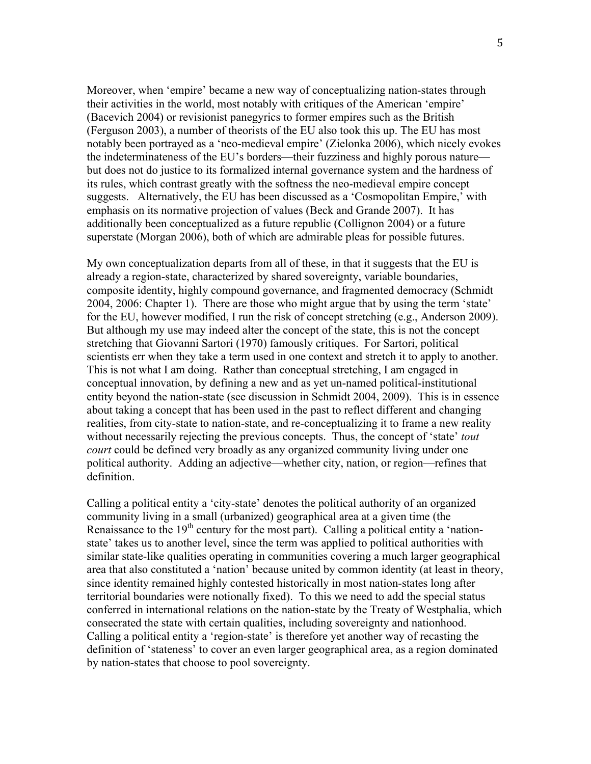Moreover, when 'empire' became a new way of conceptualizing nation-states through their activities in the world, most notably with critiques of the American 'empire' (Bacevich 2004) or revisionist panegyrics to former empires such as the British (Ferguson 2003), a number of theorists of the EU also took this up. The EU has most notably been portrayed as a 'neo-medieval empire' (Zielonka 2006), which nicely evokes the indeterminateness of the EU's borders—their fuzziness and highly porous nature but does not do justice to its formalized internal governance system and the hardness of its rules, which contrast greatly with the softness the neo-medieval empire concept suggests. Alternatively, the EU has been discussed as a 'Cosmopolitan Empire,' with emphasis on its normative projection of values (Beck and Grande 2007). It has additionally been conceptualized as a future republic (Collignon 2004) or a future superstate (Morgan 2006), both of which are admirable pleas for possible futures.

My own conceptualization departs from all of these, in that it suggests that the EU is already a region-state, characterized by shared sovereignty, variable boundaries, composite identity, highly compound governance, and fragmented democracy (Schmidt 2004, 2006: Chapter 1). There are those who might argue that by using the term 'state' for the EU, however modified, I run the risk of concept stretching (e.g., Anderson 2009). But although my use may indeed alter the concept of the state, this is not the concept stretching that Giovanni Sartori (1970) famously critiques. For Sartori, political scientists err when they take a term used in one context and stretch it to apply to another. This is not what I am doing. Rather than conceptual stretching, I am engaged in conceptual innovation, by defining a new and as yet un-named political-institutional entity beyond the nation-state (see discussion in Schmidt 2004, 2009). This is in essence about taking a concept that has been used in the past to reflect different and changing realities, from city-state to nation-state, and re-conceptualizing it to frame a new reality without necessarily rejecting the previous concepts. Thus, the concept of 'state' *tout court* could be defined very broadly as any organized community living under one political authority. Adding an adjective—whether city, nation, or region—refines that definition.

Calling a political entity a 'city-state' denotes the political authority of an organized community living in a small (urbanized) geographical area at a given time (the Renaissance to the 19<sup>th</sup> century for the most part). Calling a political entity a 'nationstate' takes us to another level, since the term was applied to political authorities with similar state-like qualities operating in communities covering a much larger geographical area that also constituted a 'nation' because united by common identity (at least in theory, since identity remained highly contested historically in most nation-states long after territorial boundaries were notionally fixed). To this we need to add the special status conferred in international relations on the nation-state by the Treaty of Westphalia, which consecrated the state with certain qualities, including sovereignty and nationhood. Calling a political entity a 'region-state' is therefore yet another way of recasting the definition of 'stateness' to cover an even larger geographical area, as a region dominated by nation-states that choose to pool sovereignty.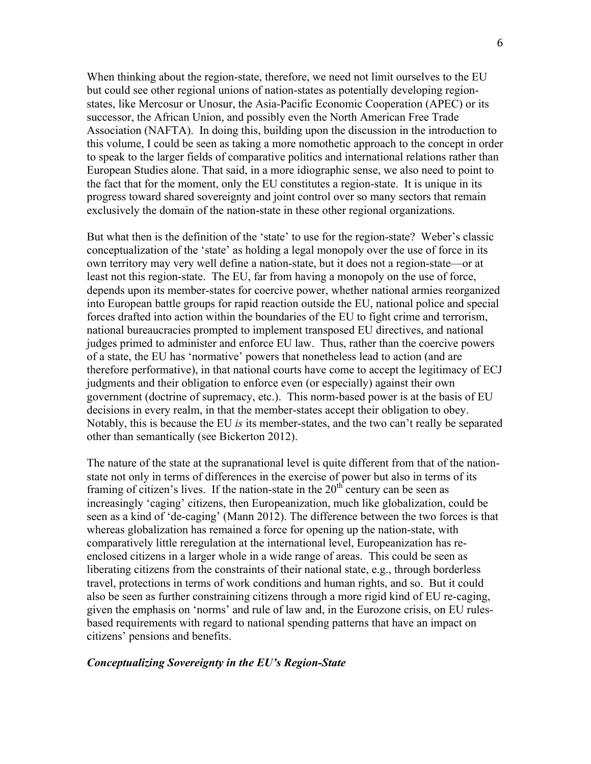When thinking about the region-state, therefore, we need not limit ourselves to the EU but could see other regional unions of nation-states as potentially developing regionstates, like Mercosur or Unosur, the Asia-Pacific Economic Cooperation (APEC) or its successor, the African Union, and possibly even the North American Free Trade Association (NAFTA). In doing this, building upon the discussion in the introduction to this volume, I could be seen as taking a more nomothetic approach to the concept in order to speak to the larger fields of comparative politics and international relations rather than European Studies alone. That said, in a more idiographic sense, we also need to point to the fact that for the moment, only the EU constitutes a region-state. It is unique in its progress toward shared sovereignty and joint control over so many sectors that remain exclusively the domain of the nation-state in these other regional organizations.

But what then is the definition of the 'state' to use for the region-state? Weber's classic conceptualization of the 'state' as holding a legal monopoly over the use of force in its own territory may very well define a nation-state, but it does not a region-state—or at least not this region-state. The EU, far from having a monopoly on the use of force, depends upon its member-states for coercive power, whether national armies reorganized into European battle groups for rapid reaction outside the EU, national police and special forces drafted into action within the boundaries of the EU to fight crime and terrorism, national bureaucracies prompted to implement transposed EU directives, and national judges primed to administer and enforce EU law. Thus, rather than the coercive powers of a state, the EU has 'normative' powers that nonetheless lead to action (and are therefore performative), in that national courts have come to accept the legitimacy of ECJ judgments and their obligation to enforce even (or especially) against their own government (doctrine of supremacy, etc.). This norm-based power is at the basis of EU decisions in every realm, in that the member-states accept their obligation to obey. Notably, this is because the EU *is* its member-states, and the two can't really be separated other than semantically (see Bickerton 2012).

The nature of the state at the supranational level is quite different from that of the nationstate not only in terms of differences in the exercise of power but also in terms of its framing of citizen's lives. If the nation-state in the  $20<sup>th</sup>$  century can be seen as increasingly 'caging' citizens, then Europeanization, much like globalization, could be seen as a kind of 'de-caging' (Mann 2012). The difference between the two forces is that whereas globalization has remained a force for opening up the nation-state, with comparatively little reregulation at the international level, Europeanization has reenclosed citizens in a larger whole in a wide range of areas. This could be seen as liberating citizens from the constraints of their national state, e.g., through borderless travel, protections in terms of work conditions and human rights, and so. But it could also be seen as further constraining citizens through a more rigid kind of EU re-caging, given the emphasis on 'norms' and rule of law and, in the Eurozone crisis, on EU rulesbased requirements with regard to national spending patterns that have an impact on citizens' pensions and benefits.

# *Conceptualizing Sovereignty in the EU's Region-State*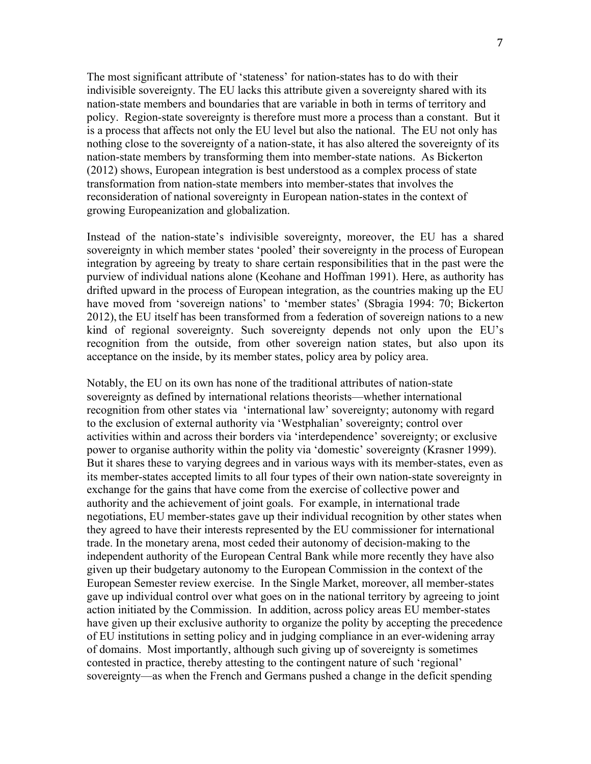The most significant attribute of 'stateness' for nation-states has to do with their indivisible sovereignty. The EU lacks this attribute given a sovereignty shared with its nation-state members and boundaries that are variable in both in terms of territory and policy. Region-state sovereignty is therefore must more a process than a constant. But it is a process that affects not only the EU level but also the national. The EU not only has nothing close to the sovereignty of a nation-state, it has also altered the sovereignty of its nation-state members by transforming them into member-state nations. As Bickerton (2012) shows, European integration is best understood as a complex process of state transformation from nation-state members into member-states that involves the reconsideration of national sovereignty in European nation-states in the context of growing Europeanization and globalization.

Instead of the nation-state's indivisible sovereignty, moreover, the EU has a shared sovereignty in which member states 'pooled' their sovereignty in the process of European integration by agreeing by treaty to share certain responsibilities that in the past were the purview of individual nations alone (Keohane and Hoffman 1991). Here, as authority has drifted upward in the process of European integration, as the countries making up the EU have moved from 'sovereign nations' to 'member states' (Sbragia 1994: 70; Bickerton 2012), the EU itself has been transformed from a federation of sovereign nations to a new kind of regional sovereignty. Such sovereignty depends not only upon the EU's recognition from the outside, from other sovereign nation states, but also upon its acceptance on the inside, by its member states, policy area by policy area.

Notably, the EU on its own has none of the traditional attributes of nation-state sovereignty as defined by international relations theorists—whether international recognition from other states via 'international law' sovereignty; autonomy with regard to the exclusion of external authority via 'Westphalian' sovereignty; control over activities within and across their borders via 'interdependence' sovereignty; or exclusive power to organise authority within the polity via 'domestic' sovereignty (Krasner 1999). But it shares these to varying degrees and in various ways with its member-states, even as its member-states accepted limits to all four types of their own nation-state sovereignty in exchange for the gains that have come from the exercise of collective power and authority and the achievement of joint goals. For example, in international trade negotiations, EU member-states gave up their individual recognition by other states when they agreed to have their interests represented by the EU commissioner for international trade. In the monetary arena, most ceded their autonomy of decision-making to the independent authority of the European Central Bank while more recently they have also given up their budgetary autonomy to the European Commission in the context of the European Semester review exercise. In the Single Market, moreover, all member-states gave up individual control over what goes on in the national territory by agreeing to joint action initiated by the Commission. In addition, across policy areas EU member-states have given up their exclusive authority to organize the polity by accepting the precedence of EU institutions in setting policy and in judging compliance in an ever-widening array of domains. Most importantly, although such giving up of sovereignty is sometimes contested in practice, thereby attesting to the contingent nature of such 'regional' sovereignty—as when the French and Germans pushed a change in the deficit spending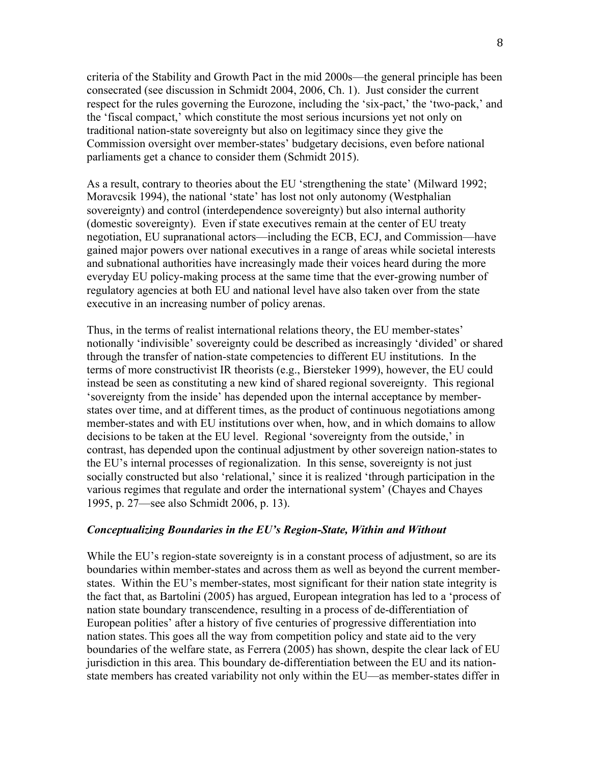criteria of the Stability and Growth Pact in the mid 2000s—the general principle has been consecrated (see discussion in Schmidt 2004, 2006, Ch. 1). Just consider the current respect for the rules governing the Eurozone, including the 'six-pact,' the 'two-pack,' and the 'fiscal compact,' which constitute the most serious incursions yet not only on traditional nation-state sovereignty but also on legitimacy since they give the Commission oversight over member-states' budgetary decisions, even before national parliaments get a chance to consider them (Schmidt 2015).

As a result, contrary to theories about the EU 'strengthening the state' (Milward 1992; Moravcsik 1994), the national 'state' has lost not only autonomy (Westphalian sovereignty) and control (interdependence sovereignty) but also internal authority (domestic sovereignty). Even if state executives remain at the center of EU treaty negotiation, EU supranational actors—including the ECB, ECJ, and Commission—have gained major powers over national executives in a range of areas while societal interests and subnational authorities have increasingly made their voices heard during the more everyday EU policy-making process at the same time that the ever-growing number of regulatory agencies at both EU and national level have also taken over from the state executive in an increasing number of policy arenas.

Thus, in the terms of realist international relations theory, the EU member-states' notionally 'indivisible' sovereignty could be described as increasingly 'divided' or shared through the transfer of nation-state competencies to different EU institutions. In the terms of more constructivist IR theorists (e.g., Biersteker 1999), however, the EU could instead be seen as constituting a new kind of shared regional sovereignty. This regional 'sovereignty from the inside' has depended upon the internal acceptance by memberstates over time, and at different times, as the product of continuous negotiations among member-states and with EU institutions over when, how, and in which domains to allow decisions to be taken at the EU level. Regional 'sovereignty from the outside,' in contrast, has depended upon the continual adjustment by other sovereign nation-states to the EU's internal processes of regionalization. In this sense, sovereignty is not just socially constructed but also 'relational,' since it is realized 'through participation in the various regimes that regulate and order the international system' (Chayes and Chayes 1995, p. 27—see also Schmidt 2006, p. 13).

## *Conceptualizing Boundaries in the EU's Region-State, Within and Without*

While the EU's region-state sovereignty is in a constant process of adjustment, so are its boundaries within member-states and across them as well as beyond the current memberstates. Within the EU's member-states, most significant for their nation state integrity is the fact that, as Bartolini (2005) has argued, European integration has led to a 'process of nation state boundary transcendence, resulting in a process of de-differentiation of European polities' after a history of five centuries of progressive differentiation into nation states. This goes all the way from competition policy and state aid to the very boundaries of the welfare state, as Ferrera (2005) has shown, despite the clear lack of EU jurisdiction in this area. This boundary de-differentiation between the EU and its nationstate members has created variability not only within the EU—as member-states differ in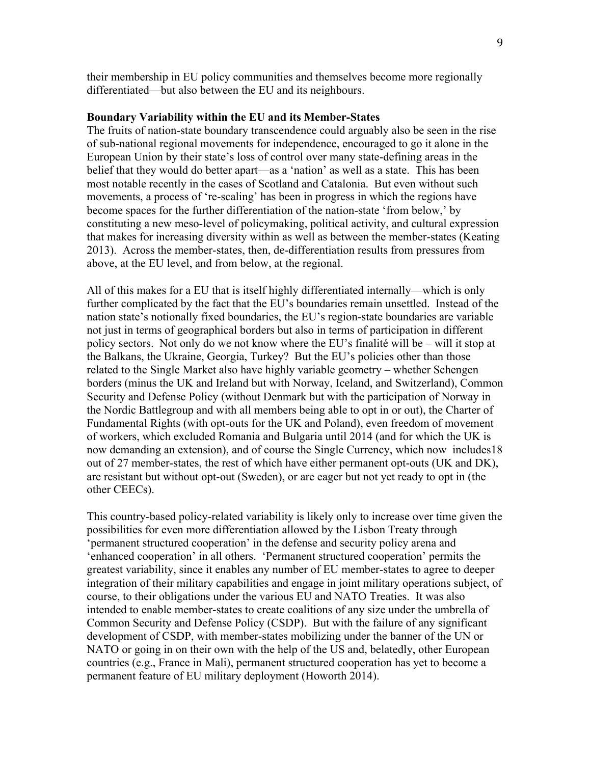their membership in EU policy communities and themselves become more regionally differentiated—but also between the EU and its neighbours.

## **Boundary Variability within the EU and its Member-States**

The fruits of nation-state boundary transcendence could arguably also be seen in the rise of sub-national regional movements for independence, encouraged to go it alone in the European Union by their state's loss of control over many state-defining areas in the belief that they would do better apart—as a 'nation' as well as a state. This has been most notable recently in the cases of Scotland and Catalonia. But even without such movements, a process of 're-scaling' has been in progress in which the regions have become spaces for the further differentiation of the nation-state 'from below,' by constituting a new meso-level of policymaking, political activity, and cultural expression that makes for increasing diversity within as well as between the member-states (Keating 2013). Across the member-states, then, de-differentiation results from pressures from above, at the EU level, and from below, at the regional.

All of this makes for a EU that is itself highly differentiated internally—which is only further complicated by the fact that the EU's boundaries remain unsettled. Instead of the nation state's notionally fixed boundaries, the EU's region-state boundaries are variable not just in terms of geographical borders but also in terms of participation in different policy sectors. Not only do we not know where the EU's finalité will be – will it stop at the Balkans, the Ukraine, Georgia, Turkey? But the EU's policies other than those related to the Single Market also have highly variable geometry – whether Schengen borders (minus the UK and Ireland but with Norway, Iceland, and Switzerland), Common Security and Defense Policy (without Denmark but with the participation of Norway in the Nordic Battlegroup and with all members being able to opt in or out), the Charter of Fundamental Rights (with opt-outs for the UK and Poland), even freedom of movement of workers, which excluded Romania and Bulgaria until 2014 (and for which the UK is now demanding an extension), and of course the Single Currency, which now includes18 out of 27 member-states, the rest of which have either permanent opt-outs (UK and DK), are resistant but without opt-out (Sweden), or are eager but not yet ready to opt in (the other CEECs).

This country-based policy-related variability is likely only to increase over time given the possibilities for even more differentiation allowed by the Lisbon Treaty through 'permanent structured cooperation' in the defense and security policy arena and 'enhanced cooperation' in all others. 'Permanent structured cooperation' permits the greatest variability, since it enables any number of EU member-states to agree to deeper integration of their military capabilities and engage in joint military operations subject, of course, to their obligations under the various EU and NATO Treaties. It was also intended to enable member-states to create coalitions of any size under the umbrella of Common Security and Defense Policy (CSDP). But with the failure of any significant development of CSDP, with member-states mobilizing under the banner of the UN or NATO or going in on their own with the help of the US and, belatedly, other European countries (e.g., France in Mali), permanent structured cooperation has yet to become a permanent feature of EU military deployment (Howorth 2014).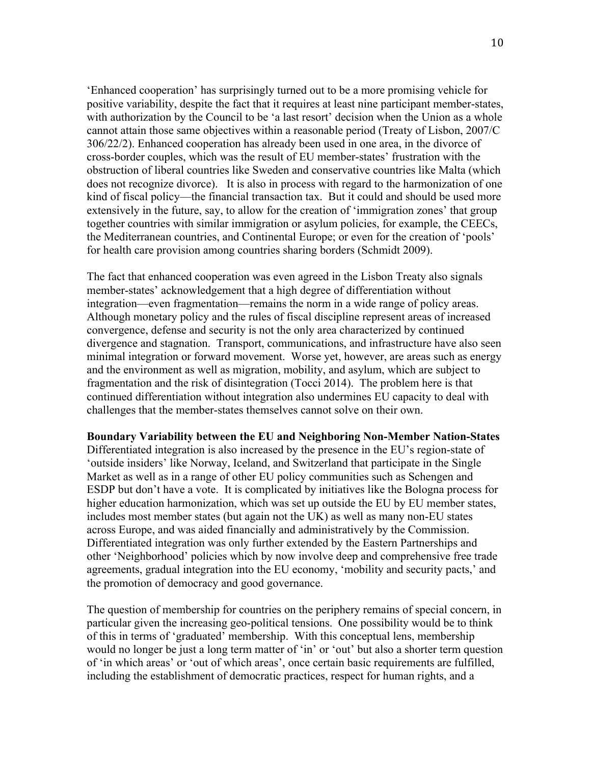'Enhanced cooperation' has surprisingly turned out to be a more promising vehicle for positive variability, despite the fact that it requires at least nine participant member-states, with authorization by the Council to be 'a last resort' decision when the Union as a whole cannot attain those same objectives within a reasonable period (Treaty of Lisbon, 2007/C 306/22/2). Enhanced cooperation has already been used in one area, in the divorce of cross-border couples, which was the result of EU member-states' frustration with the obstruction of liberal countries like Sweden and conservative countries like Malta (which does not recognize divorce). It is also in process with regard to the harmonization of one kind of fiscal policy—the financial transaction tax. But it could and should be used more extensively in the future, say, to allow for the creation of 'immigration zones' that group together countries with similar immigration or asylum policies, for example, the CEECs, the Mediterranean countries, and Continental Europe; or even for the creation of 'pools' for health care provision among countries sharing borders (Schmidt 2009).

The fact that enhanced cooperation was even agreed in the Lisbon Treaty also signals member-states' acknowledgement that a high degree of differentiation without integration—even fragmentation—remains the norm in a wide range of policy areas. Although monetary policy and the rules of fiscal discipline represent areas of increased convergence, defense and security is not the only area characterized by continued divergence and stagnation. Transport, communications, and infrastructure have also seen minimal integration or forward movement. Worse yet, however, are areas such as energy and the environment as well as migration, mobility, and asylum, which are subject to fragmentation and the risk of disintegration (Tocci 2014). The problem here is that continued differentiation without integration also undermines EU capacity to deal with challenges that the member-states themselves cannot solve on their own.

#### **Boundary Variability between the EU and Neighboring Non-Member Nation-States**

Differentiated integration is also increased by the presence in the EU's region-state of 'outside insiders' like Norway, Iceland, and Switzerland that participate in the Single Market as well as in a range of other EU policy communities such as Schengen and ESDP but don't have a vote. It is complicated by initiatives like the Bologna process for higher education harmonization, which was set up outside the EU by EU member states, includes most member states (but again not the UK) as well as many non-EU states across Europe, and was aided financially and administratively by the Commission. Differentiated integration was only further extended by the Eastern Partnerships and other 'Neighborhood' policies which by now involve deep and comprehensive free trade agreements, gradual integration into the EU economy, 'mobility and security pacts,' and the promotion of democracy and good governance.

The question of membership for countries on the periphery remains of special concern, in particular given the increasing geo-political tensions. One possibility would be to think of this in terms of 'graduated' membership. With this conceptual lens, membership would no longer be just a long term matter of 'in' or 'out' but also a shorter term question of 'in which areas' or 'out of which areas', once certain basic requirements are fulfilled, including the establishment of democratic practices, respect for human rights, and a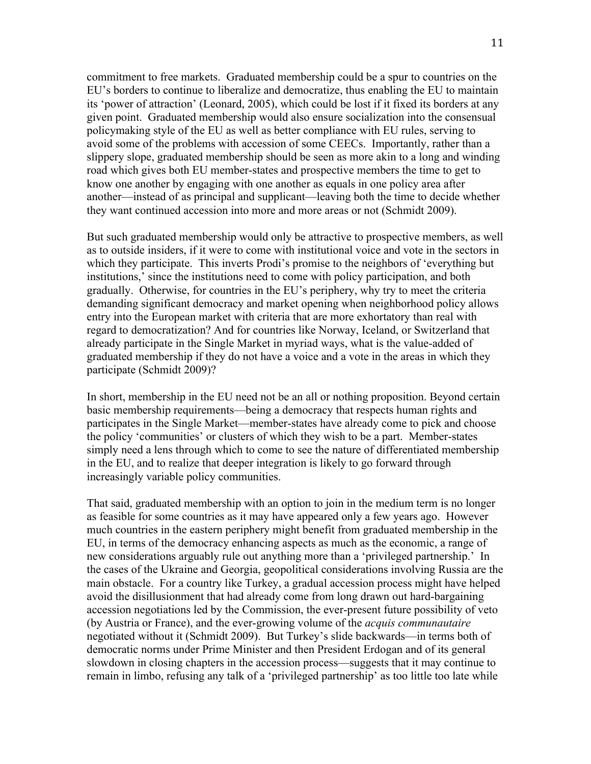commitment to free markets. Graduated membership could be a spur to countries on the EU's borders to continue to liberalize and democratize, thus enabling the EU to maintain its 'power of attraction' (Leonard, 2005), which could be lost if it fixed its borders at any given point. Graduated membership would also ensure socialization into the consensual policymaking style of the EU as well as better compliance with EU rules, serving to avoid some of the problems with accession of some CEECs. Importantly, rather than a slippery slope, graduated membership should be seen as more akin to a long and winding road which gives both EU member-states and prospective members the time to get to know one another by engaging with one another as equals in one policy area after another—instead of as principal and supplicant—leaving both the time to decide whether they want continued accession into more and more areas or not (Schmidt 2009).

But such graduated membership would only be attractive to prospective members, as well as to outside insiders, if it were to come with institutional voice and vote in the sectors in which they participate. This inverts Prodi's promise to the neighbors of 'everything but institutions,' since the institutions need to come with policy participation, and both gradually. Otherwise, for countries in the EU's periphery, why try to meet the criteria demanding significant democracy and market opening when neighborhood policy allows entry into the European market with criteria that are more exhortatory than real with regard to democratization? And for countries like Norway, Iceland, or Switzerland that already participate in the Single Market in myriad ways, what is the value-added of graduated membership if they do not have a voice and a vote in the areas in which they participate (Schmidt 2009)?

In short, membership in the EU need not be an all or nothing proposition. Beyond certain basic membership requirements—being a democracy that respects human rights and participates in the Single Market—member-states have already come to pick and choose the policy 'communities' or clusters of which they wish to be a part. Member-states simply need a lens through which to come to see the nature of differentiated membership in the EU, and to realize that deeper integration is likely to go forward through increasingly variable policy communities.

That said, graduated membership with an option to join in the medium term is no longer as feasible for some countries as it may have appeared only a few years ago. However much countries in the eastern periphery might benefit from graduated membership in the EU, in terms of the democracy enhancing aspects as much as the economic, a range of new considerations arguably rule out anything more than a 'privileged partnership.' In the cases of the Ukraine and Georgia, geopolitical considerations involving Russia are the main obstacle. For a country like Turkey, a gradual accession process might have helped avoid the disillusionment that had already come from long drawn out hard-bargaining accession negotiations led by the Commission, the ever-present future possibility of veto (by Austria or France), and the ever-growing volume of the *acquis communautaire* negotiated without it (Schmidt 2009). But Turkey's slide backwards—in terms both of democratic norms under Prime Minister and then President Erdogan and of its general slowdown in closing chapters in the accession process—suggests that it may continue to remain in limbo, refusing any talk of a 'privileged partnership' as too little too late while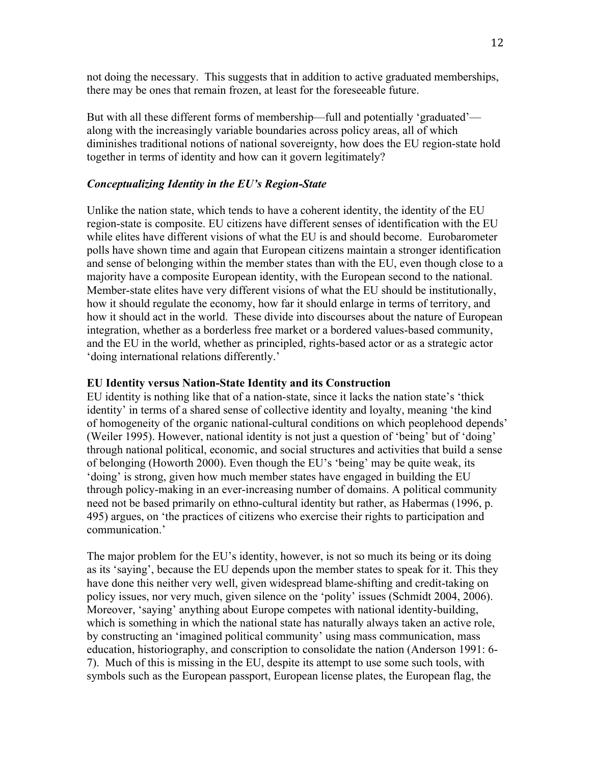not doing the necessary. This suggests that in addition to active graduated memberships, there may be ones that remain frozen, at least for the foreseeable future.

But with all these different forms of membership—full and potentially 'graduated' along with the increasingly variable boundaries across policy areas, all of which diminishes traditional notions of national sovereignty, how does the EU region-state hold together in terms of identity and how can it govern legitimately?

#### *Conceptualizing Identity in the EU's Region-State*

Unlike the nation state, which tends to have a coherent identity, the identity of the EU region-state is composite. EU citizens have different senses of identification with the EU while elites have different visions of what the EU is and should become. Eurobarometer polls have shown time and again that European citizens maintain a stronger identification and sense of belonging within the member states than with the EU, even though close to a majority have a composite European identity, with the European second to the national. Member-state elites have very different visions of what the EU should be institutionally, how it should regulate the economy, how far it should enlarge in terms of territory, and how it should act in the world. These divide into discourses about the nature of European integration, whether as a borderless free market or a bordered values-based community, and the EU in the world, whether as principled, rights-based actor or as a strategic actor 'doing international relations differently.'

#### **EU Identity versus Nation-State Identity and its Construction**

EU identity is nothing like that of a nation-state, since it lacks the nation state's 'thick identity' in terms of a shared sense of collective identity and loyalty, meaning 'the kind of homogeneity of the organic national-cultural conditions on which peoplehood depends' (Weiler 1995). However, national identity is not just a question of 'being' but of 'doing' through national political, economic, and social structures and activities that build a sense of belonging (Howorth 2000). Even though the EU's 'being' may be quite weak, its 'doing' is strong, given how much member states have engaged in building the EU through policy-making in an ever-increasing number of domains. A political community need not be based primarily on ethno-cultural identity but rather, as Habermas (1996, p. 495) argues, on 'the practices of citizens who exercise their rights to participation and communication.'

The major problem for the EU's identity, however, is not so much its being or its doing as its 'saying', because the EU depends upon the member states to speak for it. This they have done this neither very well, given widespread blame-shifting and credit-taking on policy issues, nor very much, given silence on the 'polity' issues (Schmidt 2004, 2006). Moreover, 'saying' anything about Europe competes with national identity-building, which is something in which the national state has naturally always taken an active role, by constructing an 'imagined political community' using mass communication, mass education, historiography, and conscription to consolidate the nation (Anderson 1991: 6- 7). Much of this is missing in the EU, despite its attempt to use some such tools, with symbols such as the European passport, European license plates, the European flag, the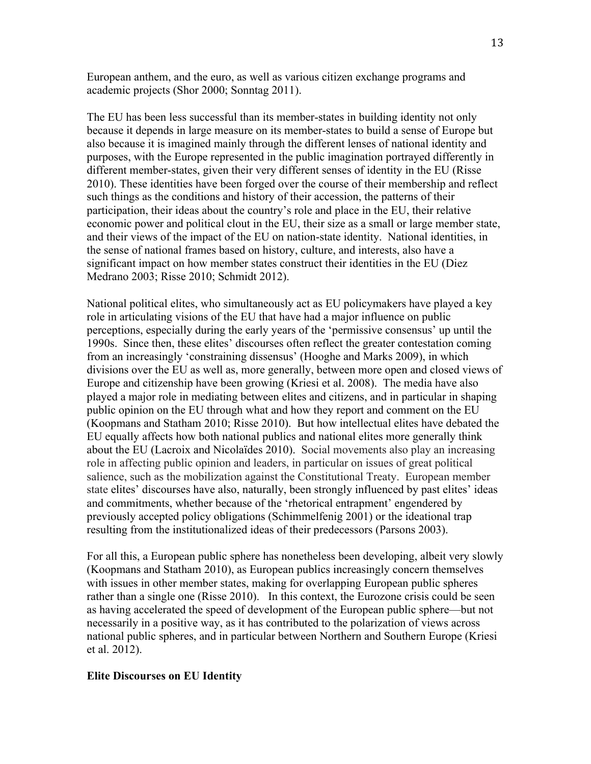European anthem, and the euro, as well as various citizen exchange programs and academic projects (Shor 2000; Sonntag 2011).

The EU has been less successful than its member-states in building identity not only because it depends in large measure on its member-states to build a sense of Europe but also because it is imagined mainly through the different lenses of national identity and purposes, with the Europe represented in the public imagination portrayed differently in different member-states, given their very different senses of identity in the EU (Risse 2010). These identities have been forged over the course of their membership and reflect such things as the conditions and history of their accession, the patterns of their participation, their ideas about the country's role and place in the EU, their relative economic power and political clout in the EU, their size as a small or large member state, and their views of the impact of the EU on nation-state identity. National identities, in the sense of national frames based on history, culture, and interests, also have a significant impact on how member states construct their identities in the EU (Diez Medrano 2003; Risse 2010; Schmidt 2012).

National political elites, who simultaneously act as EU policymakers have played a key role in articulating visions of the EU that have had a major influence on public perceptions, especially during the early years of the 'permissive consensus' up until the 1990s. Since then, these elites' discourses often reflect the greater contestation coming from an increasingly 'constraining dissensus' (Hooghe and Marks 2009), in which divisions over the EU as well as, more generally, between more open and closed views of Europe and citizenship have been growing (Kriesi et al. 2008). The media have also played a major role in mediating between elites and citizens, and in particular in shaping public opinion on the EU through what and how they report and comment on the EU (Koopmans and Statham 2010; Risse 2010). But how intellectual elites have debated the EU equally affects how both national publics and national elites more generally think about the EU (Lacroix and Nicolaïdes 2010). Social movements also play an increasing role in affecting public opinion and leaders, in particular on issues of great political salience, such as the mobilization against the Constitutional Treaty. European member state elites' discourses have also, naturally, been strongly influenced by past elites' ideas and commitments, whether because of the 'rhetorical entrapment' engendered by previously accepted policy obligations (Schimmelfenig 2001) or the ideational trap resulting from the institutionalized ideas of their predecessors (Parsons 2003).

For all this, a European public sphere has nonetheless been developing, albeit very slowly (Koopmans and Statham 2010), as European publics increasingly concern themselves with issues in other member states, making for overlapping European public spheres rather than a single one (Risse 2010). In this context, the Eurozone crisis could be seen as having accelerated the speed of development of the European public sphere—but not necessarily in a positive way, as it has contributed to the polarization of views across national public spheres, and in particular between Northern and Southern Europe (Kriesi et al. 2012).

## **Elite Discourses on EU Identity**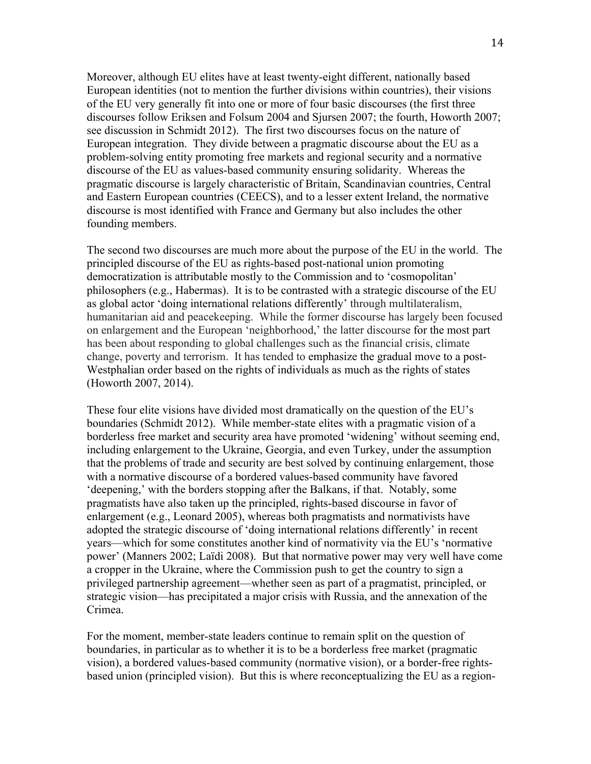Moreover, although EU elites have at least twenty-eight different, nationally based European identities (not to mention the further divisions within countries), their visions of the EU very generally fit into one or more of four basic discourses (the first three discourses follow Eriksen and Folsum 2004 and Sjursen 2007; the fourth, Howorth 2007; see discussion in Schmidt 2012). The first two discourses focus on the nature of European integration. They divide between a pragmatic discourse about the EU as a problem-solving entity promoting free markets and regional security and a normative discourse of the EU as values-based community ensuring solidarity. Whereas the pragmatic discourse is largely characteristic of Britain, Scandinavian countries, Central and Eastern European countries (CEECS), and to a lesser extent Ireland, the normative discourse is most identified with France and Germany but also includes the other founding members.

The second two discourses are much more about the purpose of the EU in the world. The principled discourse of the EU as rights-based post-national union promoting democratization is attributable mostly to the Commission and to 'cosmopolitan' philosophers (e.g., Habermas). It is to be contrasted with a strategic discourse of the EU as global actor 'doing international relations differently' through multilateralism, humanitarian aid and peacekeeping. While the former discourse has largely been focused on enlargement and the European 'neighborhood,' the latter discourse for the most part has been about responding to global challenges such as the financial crisis, climate change, poverty and terrorism. It has tended to emphasize the gradual move to a post-Westphalian order based on the rights of individuals as much as the rights of states (Howorth 2007, 2014).

These four elite visions have divided most dramatically on the question of the EU's boundaries (Schmidt 2012). While member-state elites with a pragmatic vision of a borderless free market and security area have promoted 'widening' without seeming end, including enlargement to the Ukraine, Georgia, and even Turkey, under the assumption that the problems of trade and security are best solved by continuing enlargement, those with a normative discourse of a bordered values-based community have favored 'deepening,' with the borders stopping after the Balkans, if that. Notably, some pragmatists have also taken up the principled, rights-based discourse in favor of enlargement (e.g., Leonard 2005), whereas both pragmatists and normativists have adopted the strategic discourse of 'doing international relations differently' in recent years—which for some constitutes another kind of normativity via the EU's 'normative power' (Manners 2002; Laïdi 2008). But that normative power may very well have come a cropper in the Ukraine, where the Commission push to get the country to sign a privileged partnership agreement—whether seen as part of a pragmatist, principled, or strategic vision—has precipitated a major crisis with Russia, and the annexation of the Crimea.

For the moment, member-state leaders continue to remain split on the question of boundaries, in particular as to whether it is to be a borderless free market (pragmatic vision), a bordered values-based community (normative vision), or a border-free rightsbased union (principled vision). But this is where reconceptualizing the EU as a region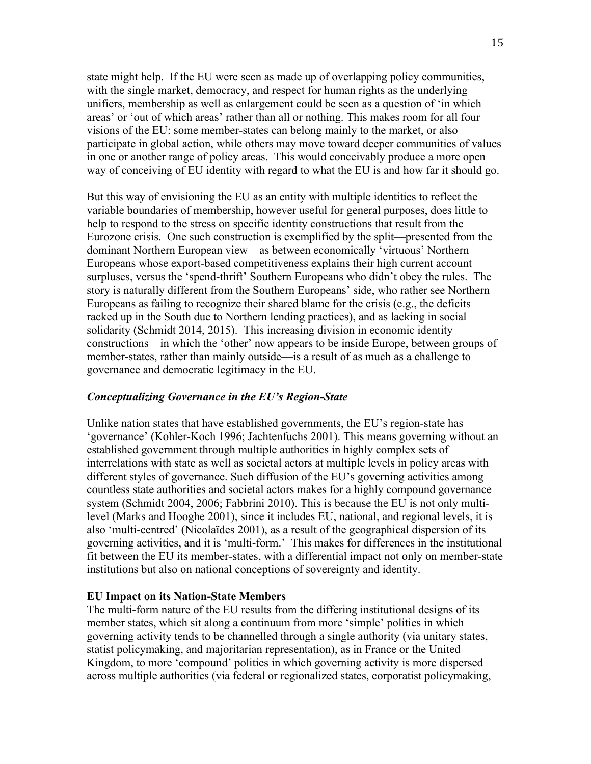state might help. If the EU were seen as made up of overlapping policy communities, with the single market, democracy, and respect for human rights as the underlying unifiers, membership as well as enlargement could be seen as a question of 'in which areas' or 'out of which areas' rather than all or nothing. This makes room for all four visions of the EU: some member-states can belong mainly to the market, or also participate in global action, while others may move toward deeper communities of values in one or another range of policy areas. This would conceivably produce a more open way of conceiving of EU identity with regard to what the EU is and how far it should go.

But this way of envisioning the EU as an entity with multiple identities to reflect the variable boundaries of membership, however useful for general purposes, does little to help to respond to the stress on specific identity constructions that result from the Eurozone crisis. One such construction is exemplified by the split—presented from the dominant Northern European view—as between economically 'virtuous' Northern Europeans whose export-based competitiveness explains their high current account surpluses, versus the 'spend-thrift' Southern Europeans who didn't obey the rules. The story is naturally different from the Southern Europeans' side, who rather see Northern Europeans as failing to recognize their shared blame for the crisis (e.g., the deficits racked up in the South due to Northern lending practices), and as lacking in social solidarity (Schmidt 2014, 2015). This increasing division in economic identity constructions—in which the 'other' now appears to be inside Europe, between groups of member-states, rather than mainly outside—is a result of as much as a challenge to governance and democratic legitimacy in the EU.

## *Conceptualizing Governance in the EU's Region-State*

Unlike nation states that have established governments, the EU's region-state has 'governance' (Kohler-Koch 1996; Jachtenfuchs 2001). This means governing without an established government through multiple authorities in highly complex sets of interrelations with state as well as societal actors at multiple levels in policy areas with different styles of governance. Such diffusion of the EU's governing activities among countless state authorities and societal actors makes for a highly compound governance system (Schmidt 2004, 2006; Fabbrini 2010). This is because the EU is not only multilevel (Marks and Hooghe 2001), since it includes EU, national, and regional levels, it is also 'multi-centred' (Nicolaïdes 2001), as a result of the geographical dispersion of its governing activities, and it is 'multi-form.' This makes for differences in the institutional fit between the EU its member-states, with a differential impact not only on member-state institutions but also on national conceptions of sovereignty and identity.

## **EU Impact on its Nation-State Members**

The multi-form nature of the EU results from the differing institutional designs of its member states, which sit along a continuum from more 'simple' polities in which governing activity tends to be channelled through a single authority (via unitary states, statist policymaking, and majoritarian representation), as in France or the United Kingdom, to more 'compound' polities in which governing activity is more dispersed across multiple authorities (via federal or regionalized states, corporatist policymaking,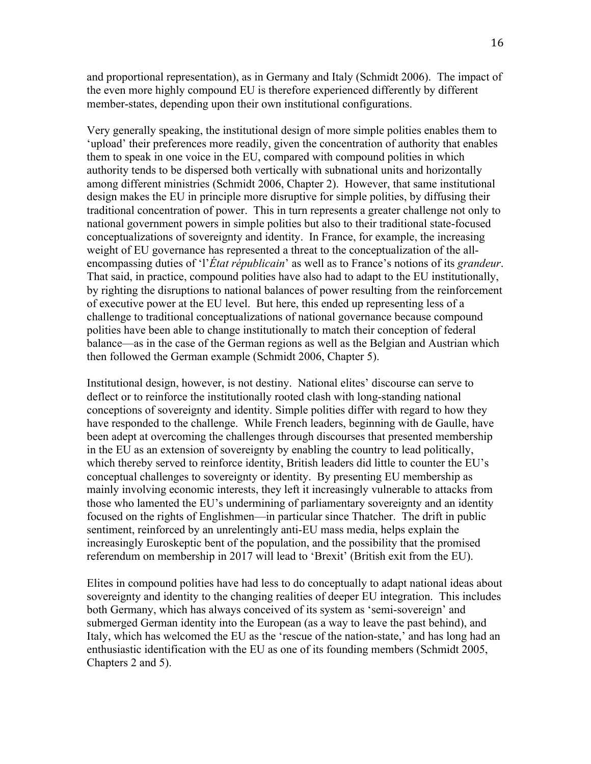and proportional representation), as in Germany and Italy (Schmidt 2006). The impact of the even more highly compound EU is therefore experienced differently by different member-states, depending upon their own institutional configurations.

Very generally speaking, the institutional design of more simple polities enables them to 'upload' their preferences more readily, given the concentration of authority that enables them to speak in one voice in the EU, compared with compound polities in which authority tends to be dispersed both vertically with subnational units and horizontally among different ministries (Schmidt 2006, Chapter 2). However, that same institutional design makes the EU in principle more disruptive for simple polities, by diffusing their traditional concentration of power. This in turn represents a greater challenge not only to national government powers in simple polities but also to their traditional state-focused conceptualizations of sovereignty and identity. In France, for example, the increasing weight of EU governance has represented a threat to the conceptualization of the allencompassing duties of 'l'*État républicain*' as well as to France's notions of its *grandeur*. That said, in practice, compound polities have also had to adapt to the EU institutionally, by righting the disruptions to national balances of power resulting from the reinforcement of executive power at the EU level. But here, this ended up representing less of a challenge to traditional conceptualizations of national governance because compound polities have been able to change institutionally to match their conception of federal balance—as in the case of the German regions as well as the Belgian and Austrian which then followed the German example (Schmidt 2006, Chapter 5).

Institutional design, however, is not destiny. National elites' discourse can serve to deflect or to reinforce the institutionally rooted clash with long-standing national conceptions of sovereignty and identity. Simple polities differ with regard to how they have responded to the challenge. While French leaders, beginning with de Gaulle, have been adept at overcoming the challenges through discourses that presented membership in the EU as an extension of sovereignty by enabling the country to lead politically, which thereby served to reinforce identity, British leaders did little to counter the EU's conceptual challenges to sovereignty or identity. By presenting EU membership as mainly involving economic interests, they left it increasingly vulnerable to attacks from those who lamented the EU's undermining of parliamentary sovereignty and an identity focused on the rights of Englishmen—in particular since Thatcher. The drift in public sentiment, reinforced by an unrelentingly anti-EU mass media, helps explain the increasingly Euroskeptic bent of the population, and the possibility that the promised referendum on membership in 2017 will lead to 'Brexit' (British exit from the EU).

Elites in compound polities have had less to do conceptually to adapt national ideas about sovereignty and identity to the changing realities of deeper EU integration. This includes both Germany, which has always conceived of its system as 'semi-sovereign' and submerged German identity into the European (as a way to leave the past behind), and Italy, which has welcomed the EU as the 'rescue of the nation-state,' and has long had an enthusiastic identification with the EU as one of its founding members (Schmidt 2005, Chapters 2 and 5).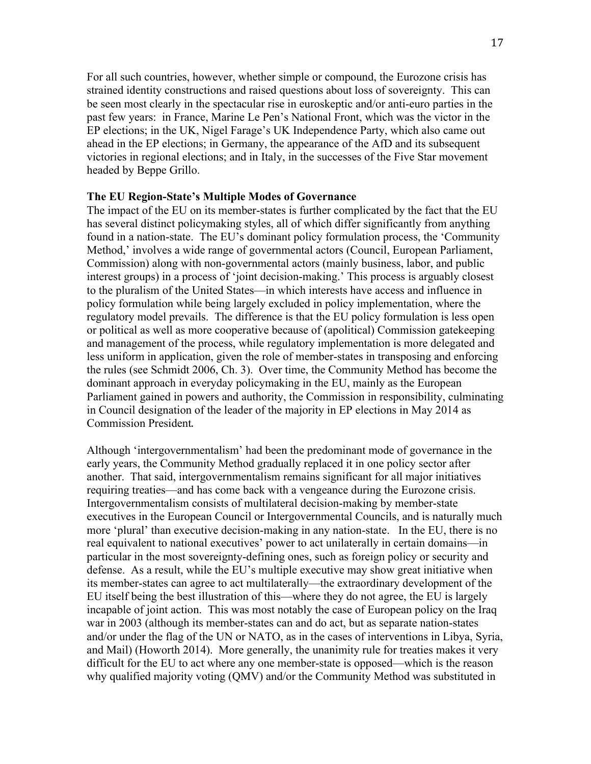For all such countries, however, whether simple or compound, the Eurozone crisis has strained identity constructions and raised questions about loss of sovereignty. This can be seen most clearly in the spectacular rise in euroskeptic and/or anti-euro parties in the past few years: in France, Marine Le Pen's National Front, which was the victor in the EP elections; in the UK, Nigel Farage's UK Independence Party, which also came out ahead in the EP elections; in Germany, the appearance of the AfD and its subsequent victories in regional elections; and in Italy, in the successes of the Five Star movement headed by Beppe Grillo.

## **The EU Region-State's Multiple Modes of Governance**

The impact of the EU on its member-states is further complicated by the fact that the EU has several distinct policymaking styles, all of which differ significantly from anything found in a nation-state. The EU's dominant policy formulation process, the 'Community Method,' involves a wide range of governmental actors (Council, European Parliament, Commission) along with non-governmental actors (mainly business, labor, and public interest groups) in a process of 'joint decision-making.' This process is arguably closest to the pluralism of the United States—in which interests have access and influence in policy formulation while being largely excluded in policy implementation, where the regulatory model prevails. The difference is that the EU policy formulation is less open or political as well as more cooperative because of (apolitical) Commission gatekeeping and management of the process, while regulatory implementation is more delegated and less uniform in application, given the role of member-states in transposing and enforcing the rules (see Schmidt 2006, Ch. 3). Over time, the Community Method has become the dominant approach in everyday policymaking in the EU, mainly as the European Parliament gained in powers and authority, the Commission in responsibility, culminating in Council designation of the leader of the majority in EP elections in May 2014 as Commission President.

Although 'intergovernmentalism' had been the predominant mode of governance in the early years, the Community Method gradually replaced it in one policy sector after another. That said, intergovernmentalism remains significant for all major initiatives requiring treaties—and has come back with a vengeance during the Eurozone crisis. Intergovernmentalism consists of multilateral decision-making by member-state executives in the European Council or Intergovernmental Councils, and is naturally much more 'plural' than executive decision-making in any nation-state. In the EU, there is no real equivalent to national executives' power to act unilaterally in certain domains—in particular in the most sovereignty-defining ones, such as foreign policy or security and defense. As a result, while the EU's multiple executive may show great initiative when its member-states can agree to act multilaterally—the extraordinary development of the EU itself being the best illustration of this—where they do not agree, the EU is largely incapable of joint action. This was most notably the case of European policy on the Iraq war in 2003 (although its member-states can and do act, but as separate nation-states and/or under the flag of the UN or NATO, as in the cases of interventions in Libya, Syria, and Mail) (Howorth 2014). More generally, the unanimity rule for treaties makes it very difficult for the EU to act where any one member-state is opposed—which is the reason why qualified majority voting (QMV) and/or the Community Method was substituted in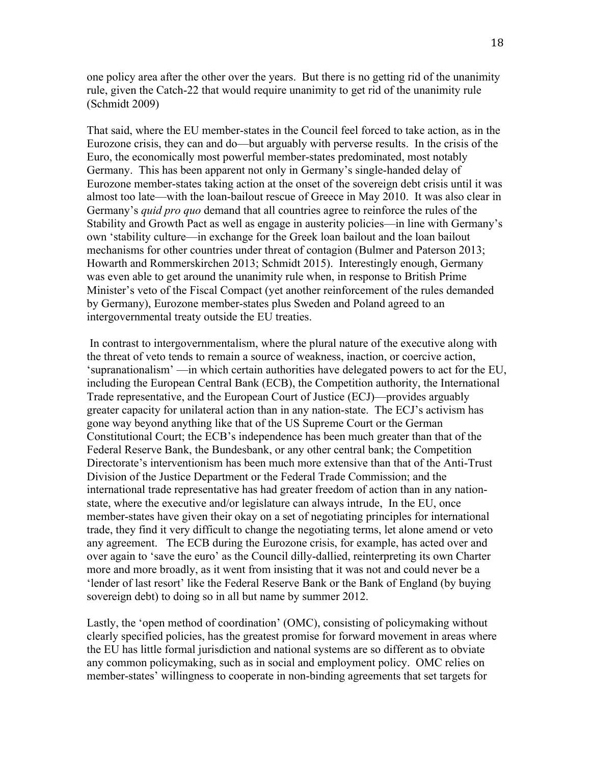one policy area after the other over the years. But there is no getting rid of the unanimity rule, given the Catch-22 that would require unanimity to get rid of the unanimity rule (Schmidt 2009)

That said, where the EU member-states in the Council feel forced to take action, as in the Eurozone crisis, they can and do—but arguably with perverse results. In the crisis of the Euro, the economically most powerful member-states predominated, most notably Germany. This has been apparent not only in Germany's single-handed delay of Eurozone member-states taking action at the onset of the sovereign debt crisis until it was almost too late—with the loan-bailout rescue of Greece in May 2010. It was also clear in Germany's *quid pro quo* demand that all countries agree to reinforce the rules of the Stability and Growth Pact as well as engage in austerity policies—in line with Germany's own 'stability culture—in exchange for the Greek loan bailout and the loan bailout mechanisms for other countries under threat of contagion (Bulmer and Paterson 2013; Howarth and Rommerskirchen 2013; Schmidt 2015). Interestingly enough, Germany was even able to get around the unanimity rule when, in response to British Prime Minister's veto of the Fiscal Compact (yet another reinforcement of the rules demanded by Germany), Eurozone member-states plus Sweden and Poland agreed to an intergovernmental treaty outside the EU treaties.

In contrast to intergovernmentalism, where the plural nature of the executive along with the threat of veto tends to remain a source of weakness, inaction, or coercive action, 'supranationalism' —in which certain authorities have delegated powers to act for the EU, including the European Central Bank (ECB), the Competition authority, the International Trade representative, and the European Court of Justice (ECJ)—provides arguably greater capacity for unilateral action than in any nation-state. The ECJ's activism has gone way beyond anything like that of the US Supreme Court or the German Constitutional Court; the ECB's independence has been much greater than that of the Federal Reserve Bank, the Bundesbank, or any other central bank; the Competition Directorate's interventionism has been much more extensive than that of the Anti-Trust Division of the Justice Department or the Federal Trade Commission; and the international trade representative has had greater freedom of action than in any nationstate, where the executive and/or legislature can always intrude, In the EU, once member-states have given their okay on a set of negotiating principles for international trade, they find it very difficult to change the negotiating terms, let alone amend or veto any agreement. The ECB during the Eurozone crisis, for example, has acted over and over again to 'save the euro' as the Council dilly-dallied, reinterpreting its own Charter more and more broadly, as it went from insisting that it was not and could never be a 'lender of last resort' like the Federal Reserve Bank or the Bank of England (by buying sovereign debt) to doing so in all but name by summer 2012.

Lastly, the 'open method of coordination' (OMC), consisting of policymaking without clearly specified policies, has the greatest promise for forward movement in areas where the EU has little formal jurisdiction and national systems are so different as to obviate any common policymaking, such as in social and employment policy. OMC relies on member-states' willingness to cooperate in non-binding agreements that set targets for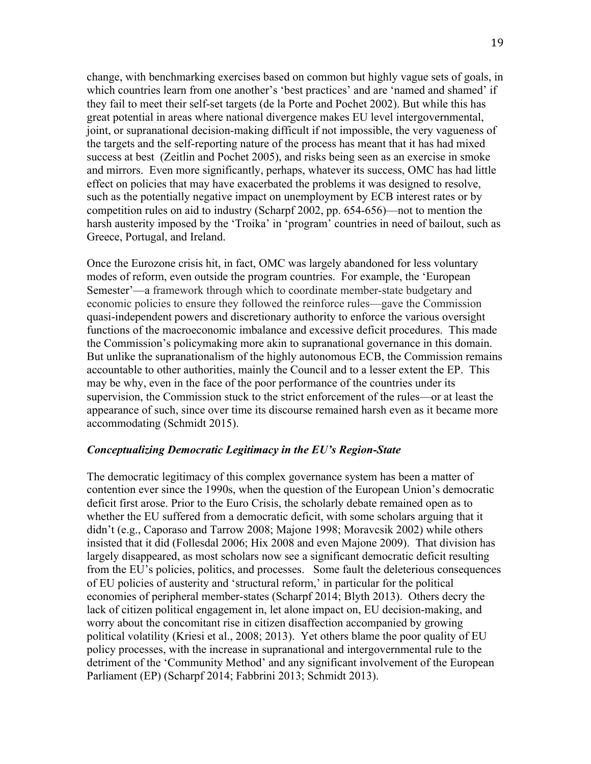change, with benchmarking exercises based on common but highly vague sets of goals, in which countries learn from one another's 'best practices' and are 'named and shamed' if they fail to meet their self-set targets (de la Porte and Pochet 2002). But while this has great potential in areas where national divergence makes EU level intergovernmental, joint, or supranational decision-making difficult if not impossible, the very vagueness of the targets and the self-reporting nature of the process has meant that it has had mixed success at best (Zeitlin and Pochet 2005), and risks being seen as an exercise in smoke and mirrors. Even more significantly, perhaps, whatever its success, OMC has had little effect on policies that may have exacerbated the problems it was designed to resolve, such as the potentially negative impact on unemployment by ECB interest rates or by competition rules on aid to industry (Scharpf 2002, pp. 654-656)—not to mention the harsh austerity imposed by the 'Troika' in 'program' countries in need of bailout, such as Greece, Portugal, and Ireland.

Once the Eurozone crisis hit, in fact, OMC was largely abandoned for less voluntary modes of reform, even outside the program countries. For example, the 'European Semester'—a framework through which to coordinate member-state budgetary and economic policies to ensure they followed the reinforce rules—gave the Commission quasi-independent powers and discretionary authority to enforce the various oversight functions of the macroeconomic imbalance and excessive deficit procedures. This made the Commission's policymaking more akin to supranational governance in this domain. But unlike the supranationalism of the highly autonomous ECB, the Commission remains accountable to other authorities, mainly the Council and to a lesser extent the EP. This may be why, even in the face of the poor performance of the countries under its supervision, the Commission stuck to the strict enforcement of the rules—or at least the appearance of such, since over time its discourse remained harsh even as it became more accommodating (Schmidt 2015).

## *Conceptualizing Democratic Legitimacy in the EU's Region-State*

The democratic legitimacy of this complex governance system has been a matter of contention ever since the 1990s, when the question of the European Union's democratic deficit first arose. Prior to the Euro Crisis, the scholarly debate remained open as to whether the EU suffered from a democratic deficit, with some scholars arguing that it didn't (e.g., Caporaso and Tarrow 2008; Majone 1998; Moravcsik 2002) while others insisted that it did (Follesdal 2006; Hix 2008 and even Majone 2009). That division has largely disappeared, as most scholars now see a significant democratic deficit resulting from the EU's policies, politics, and processes. Some fault the deleterious consequences of EU policies of austerity and 'structural reform,' in particular for the political economies of peripheral member-states (Scharpf 2014; Blyth 2013). Others decry the lack of citizen political engagement in, let alone impact on, EU decision-making, and worry about the concomitant rise in citizen disaffection accompanied by growing political volatility (Kriesi et al., 2008; 2013). Yet others blame the poor quality of EU policy processes, with the increase in supranational and intergovernmental rule to the detriment of the 'Community Method' and any significant involvement of the European Parliament (EP) (Scharpf 2014; Fabbrini 2013; Schmidt 2013).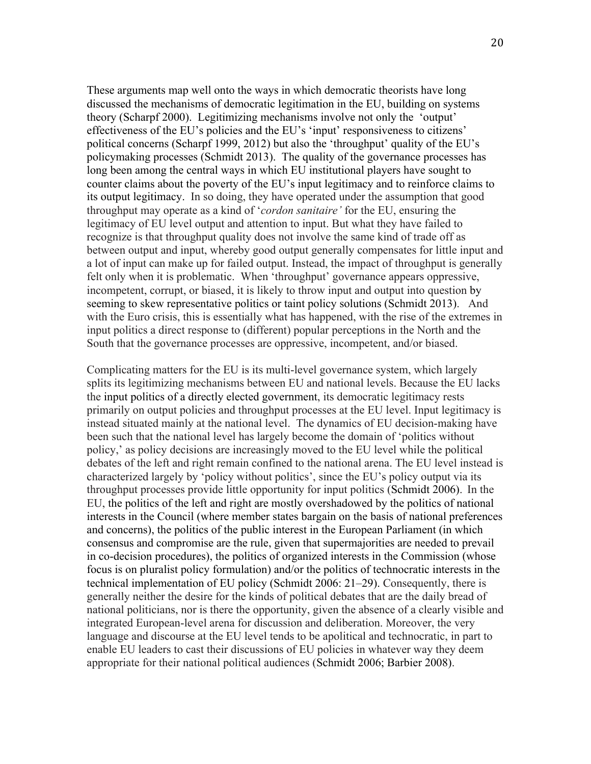These arguments map well onto the ways in which democratic theorists have long discussed the mechanisms of democratic legitimation in the EU, building on systems theory (Scharpf 2000). Legitimizing mechanisms involve not only the 'output' effectiveness of the EU's policies and the EU's 'input' responsiveness to citizens' political concerns (Scharpf 1999, 2012) but also the 'throughput' quality of the EU's policymaking processes (Schmidt 2013). The quality of the governance processes has long been among the central ways in which EU institutional players have sought to counter claims about the poverty of the EU's input legitimacy and to reinforce claims to its output legitimacy. In so doing, they have operated under the assumption that good throughput may operate as a kind of '*cordon sanitaire'* for the EU, ensuring the legitimacy of EU level output and attention to input. But what they have failed to recognize is that throughput quality does not involve the same kind of trade off as between output and input, whereby good output generally compensates for little input and a lot of input can make up for failed output. Instead, the impact of throughput is generally felt only when it is problematic. When 'throughput' governance appears oppressive, incompetent, corrupt, or biased, it is likely to throw input and output into question by seeming to skew representative politics or taint policy solutions (Schmidt 2013). And with the Euro crisis, this is essentially what has happened, with the rise of the extremes in input politics a direct response to (different) popular perceptions in the North and the South that the governance processes are oppressive, incompetent, and/or biased.

Complicating matters for the EU is its multi-level governance system, which largely splits its legitimizing mechanisms between EU and national levels. Because the EU lacks the input politics of a directly elected government, its democratic legitimacy rests primarily on output policies and throughput processes at the EU level. Input legitimacy is instead situated mainly at the national level. The dynamics of EU decision-making have been such that the national level has largely become the domain of 'politics without policy,' as policy decisions are increasingly moved to the EU level while the political debates of the left and right remain confined to the national arena. The EU level instead is characterized largely by 'policy without politics', since the EU's policy output via its throughput processes provide little opportunity for input politics (Schmidt 2006). In the EU, the politics of the left and right are mostly overshadowed by the politics of national interests in the Council (where member states bargain on the basis of national preferences and concerns), the politics of the public interest in the European Parliament (in which consensus and compromise are the rule, given that supermajorities are needed to prevail in co-decision procedures), the politics of organized interests in the Commission (whose focus is on pluralist policy formulation) and/or the politics of technocratic interests in the technical implementation of EU policy (Schmidt 2006: 21–29). Consequently, there is generally neither the desire for the kinds of political debates that are the daily bread of national politicians, nor is there the opportunity, given the absence of a clearly visible and integrated European-level arena for discussion and deliberation. Moreover, the very language and discourse at the EU level tends to be apolitical and technocratic, in part to enable EU leaders to cast their discussions of EU policies in whatever way they deem appropriate for their national political audiences (Schmidt 2006; Barbier 2008).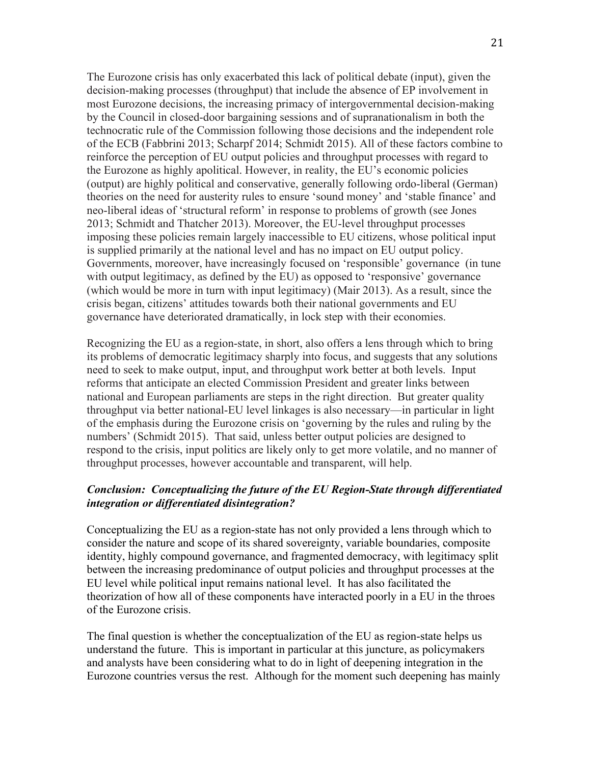The Eurozone crisis has only exacerbated this lack of political debate (input), given the decision-making processes (throughput) that include the absence of EP involvement in most Eurozone decisions, the increasing primacy of intergovernmental decision-making by the Council in closed-door bargaining sessions and of supranationalism in both the technocratic rule of the Commission following those decisions and the independent role of the ECB (Fabbrini 2013; Scharpf 2014; Schmidt 2015). All of these factors combine to reinforce the perception of EU output policies and throughput processes with regard to the Eurozone as highly apolitical. However, in reality, the EU's economic policies (output) are highly political and conservative, generally following ordo-liberal (German) theories on the need for austerity rules to ensure 'sound money' and 'stable finance' and neo-liberal ideas of 'structural reform' in response to problems of growth (see Jones 2013; Schmidt and Thatcher 2013). Moreover, the EU-level throughput processes imposing these policies remain largely inaccessible to EU citizens, whose political input is supplied primarily at the national level and has no impact on EU output policy. Governments, moreover, have increasingly focused on 'responsible' governance (in tune with output legitimacy, as defined by the EU) as opposed to 'responsive' governance (which would be more in turn with input legitimacy) (Mair 2013). As a result, since the crisis began, citizens' attitudes towards both their national governments and EU governance have deteriorated dramatically, in lock step with their economies.

Recognizing the EU as a region-state, in short, also offers a lens through which to bring its problems of democratic legitimacy sharply into focus, and suggests that any solutions need to seek to make output, input, and throughput work better at both levels. Input reforms that anticipate an elected Commission President and greater links between national and European parliaments are steps in the right direction. But greater quality throughput via better national-EU level linkages is also necessary—in particular in light of the emphasis during the Eurozone crisis on 'governing by the rules and ruling by the numbers' (Schmidt 2015). That said, unless better output policies are designed to respond to the crisis, input politics are likely only to get more volatile, and no manner of throughput processes, however accountable and transparent, will help.

# *Conclusion: Conceptualizing the future of the EU Region-State through differentiated integration or differentiated disintegration?*

Conceptualizing the EU as a region-state has not only provided a lens through which to consider the nature and scope of its shared sovereignty, variable boundaries, composite identity, highly compound governance, and fragmented democracy, with legitimacy split between the increasing predominance of output policies and throughput processes at the EU level while political input remains national level. It has also facilitated the theorization of how all of these components have interacted poorly in a EU in the throes of the Eurozone crisis.

The final question is whether the conceptualization of the EU as region-state helps us understand the future. This is important in particular at this juncture, as policymakers and analysts have been considering what to do in light of deepening integration in the Eurozone countries versus the rest. Although for the moment such deepening has mainly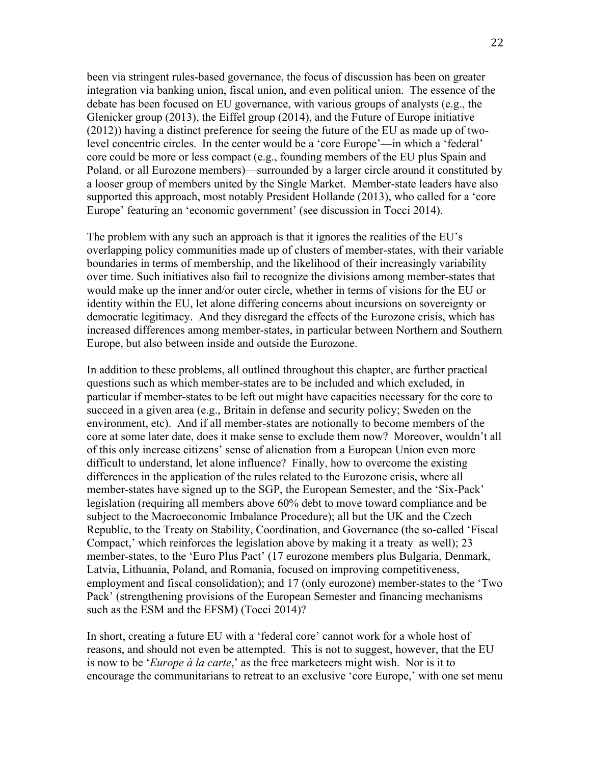been via stringent rules-based governance, the focus of discussion has been on greater integration via banking union, fiscal union, and even political union. The essence of the debate has been focused on EU governance, with various groups of analysts (e.g., the Glenicker group (2013), the Eiffel group (2014), and the Future of Europe initiative (2012)) having a distinct preference for seeing the future of the EU as made up of twolevel concentric circles. In the center would be a 'core Europe'—in which a 'federal' core could be more or less compact (e.g., founding members of the EU plus Spain and Poland, or all Eurozone members)—surrounded by a larger circle around it constituted by a looser group of members united by the Single Market. Member-state leaders have also supported this approach, most notably President Hollande (2013), who called for a 'core Europe' featuring an 'economic government' (see discussion in Tocci 2014).

The problem with any such an approach is that it ignores the realities of the EU's overlapping policy communities made up of clusters of member-states, with their variable boundaries in terms of membership, and the likelihood of their increasingly variability over time. Such initiatives also fail to recognize the divisions among member-states that would make up the inner and/or outer circle, whether in terms of visions for the EU or identity within the EU, let alone differing concerns about incursions on sovereignty or democratic legitimacy. And they disregard the effects of the Eurozone crisis, which has increased differences among member-states, in particular between Northern and Southern Europe, but also between inside and outside the Eurozone.

In addition to these problems, all outlined throughout this chapter, are further practical questions such as which member-states are to be included and which excluded, in particular if member-states to be left out might have capacities necessary for the core to succeed in a given area (e.g., Britain in defense and security policy; Sweden on the environment, etc). And if all member-states are notionally to become members of the core at some later date, does it make sense to exclude them now? Moreover, wouldn't all of this only increase citizens' sense of alienation from a European Union even more difficult to understand, let alone influence? Finally, how to overcome the existing differences in the application of the rules related to the Eurozone crisis, where all member-states have signed up to the SGP, the European Semester, and the 'Six-Pack' legislation (requiring all members above 60% debt to move toward compliance and be subject to the Macroeconomic Imbalance Procedure); all but the UK and the Czech Republic, to the Treaty on Stability, Coordination, and Governance (the so-called 'Fiscal Compact,' which reinforces the legislation above by making it a treaty as well); 23 member-states, to the 'Euro Plus Pact' (17 eurozone members plus Bulgaria, Denmark, Latvia, Lithuania, Poland, and Romania, focused on improving competitiveness, employment and fiscal consolidation); and 17 (only eurozone) member-states to the 'Two Pack' (strengthening provisions of the European Semester and financing mechanisms such as the ESM and the EFSM) (Tocci 2014)?

In short, creating a future EU with a 'federal core' cannot work for a whole host of reasons, and should not even be attempted. This is not to suggest, however, that the EU is now to be '*Europe à la carte*,' as the free marketeers might wish. Nor is it to encourage the communitarians to retreat to an exclusive 'core Europe,' with one set menu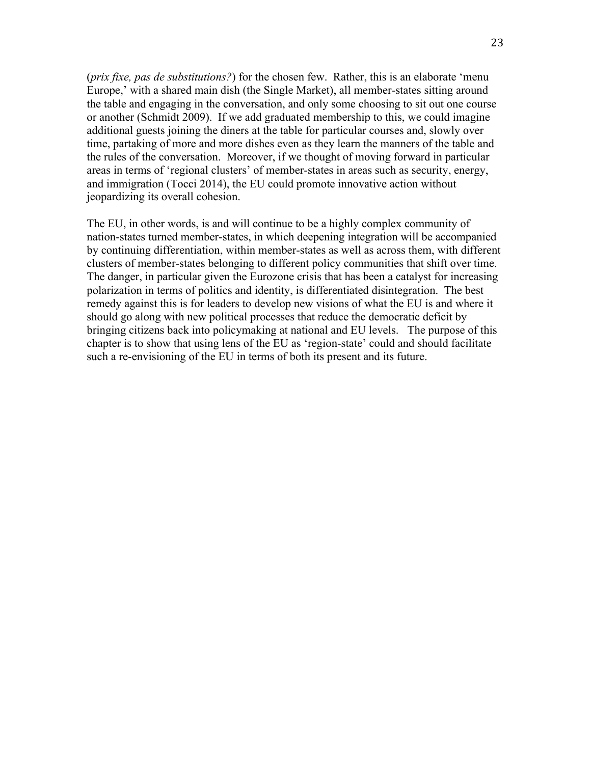(*prix fixe, pas de substitutions?*) for the chosen few. Rather, this is an elaborate 'menu Europe,' with a shared main dish (the Single Market), all member-states sitting around the table and engaging in the conversation, and only some choosing to sit out one course or another (Schmidt 2009). If we add graduated membership to this, we could imagine additional guests joining the diners at the table for particular courses and, slowly over time, partaking of more and more dishes even as they learn the manners of the table and the rules of the conversation. Moreover, if we thought of moving forward in particular areas in terms of 'regional clusters' of member-states in areas such as security, energy, and immigration (Tocci 2014), the EU could promote innovative action without jeopardizing its overall cohesion.

The EU, in other words, is and will continue to be a highly complex community of nation-states turned member-states, in which deepening integration will be accompanied by continuing differentiation, within member-states as well as across them, with different clusters of member-states belonging to different policy communities that shift over time. The danger, in particular given the Eurozone crisis that has been a catalyst for increasing polarization in terms of politics and identity, is differentiated disintegration. The best remedy against this is for leaders to develop new visions of what the EU is and where it should go along with new political processes that reduce the democratic deficit by bringing citizens back into policymaking at national and EU levels. The purpose of this chapter is to show that using lens of the EU as 'region-state' could and should facilitate such a re-envisioning of the EU in terms of both its present and its future.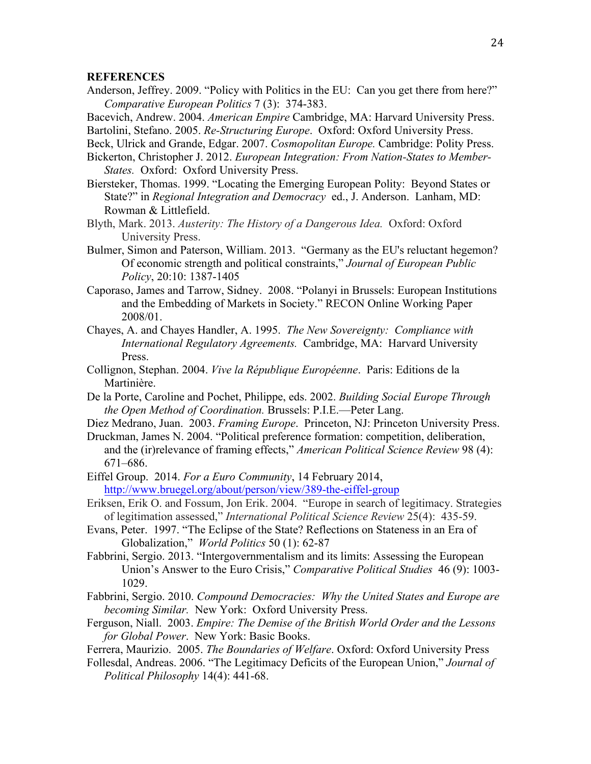#### **REFERENCES**

- Anderson, Jeffrey. 2009. "Policy with Politics in the EU: Can you get there from here?" *Comparative European Politics* 7 (3): 374-383.
- Bacevich, Andrew. 2004. *American Empire* Cambridge, MA: Harvard University Press.
- Bartolini, Stefano. 2005. *Re-Structuring Europe*. Oxford: Oxford University Press.
- Beck, Ulrick and Grande, Edgar. 2007. *Cosmopolitan Europe.* Cambridge: Polity Press.
- Bickerton, Christopher J. 2012. *European Integration: From Nation-States to Member-States.* Oxford: Oxford University Press.
- Biersteker, Thomas. 1999. "Locating the Emerging European Polity: Beyond States or State?" in *Regional Integration and Democracy* ed., J. Anderson. Lanham, MD: Rowman & Littlefield.
- Blyth, Mark. 2013. *Austerity: The History of a Dangerous Idea.* Oxford: Oxford University Press.
- Bulmer, Simon and Paterson, William. 2013. "Germany as the EU's reluctant hegemon? Of economic strength and political constraints," *Journal of European Public Policy*, 20:10: 1387-1405
- Caporaso, James and Tarrow, Sidney. 2008. "Polanyi in Brussels: European Institutions and the Embedding of Markets in Society." RECON Online Working Paper 2008/01.
- Chayes, A. and Chayes Handler, A. 1995. *The New Sovereignty: Compliance with International Regulatory Agreements.* Cambridge, MA: Harvard University Press.
- Collignon, Stephan. 2004. *Vive la République Européenne*. Paris: Editions de la Martinière.
- De la Porte, Caroline and Pochet, Philippe, eds. 2002. *Building Social Europe Through the Open Method of Coordination.* Brussels: P.I.E.—Peter Lang.
- Diez Medrano, Juan. 2003. *Framing Europe*. Princeton, NJ: Princeton University Press.
- Druckman, James N. 2004. "Political preference formation: competition, deliberation, and the (ir)relevance of framing effects," *American Political Science Review* 98 (4): 671–686.
- Eiffel Group. 2014. *For a Euro Community*, 14 February 2014, http://www.bruegel.org/about/person/view/389-the-eiffel-group
- Eriksen, Erik O. and Fossum, Jon Erik. 2004. "Europe in search of legitimacy. Strategies of legitimation assessed," *International Political Science Review* 25(4): 435-59.
- Evans, Peter. 1997. "The Eclipse of the State? Reflections on Stateness in an Era of Globalization," *World Politics* 50 (1): 62-87
- Fabbrini, Sergio. 2013. "Intergovernmentalism and its limits: Assessing the European Union's Answer to the Euro Crisis," *Comparative Political Studies* 46 (9): 1003- 1029.
- Fabbrini, Sergio. 2010. *Compound Democracies: Why the United States and Europe are becoming Similar.* New York: Oxford University Press.
- Ferguson, Niall. 2003. *Empire: The Demise of the British World Order and the Lessons for Global Power*. New York: Basic Books.
- Ferrera, Maurizio. 2005. *The Boundaries of Welfare*. Oxford: Oxford University Press
- Follesdal, Andreas. 2006. "The Legitimacy Deficits of the European Union," *Journal of Political Philosophy* 14(4): 441-68.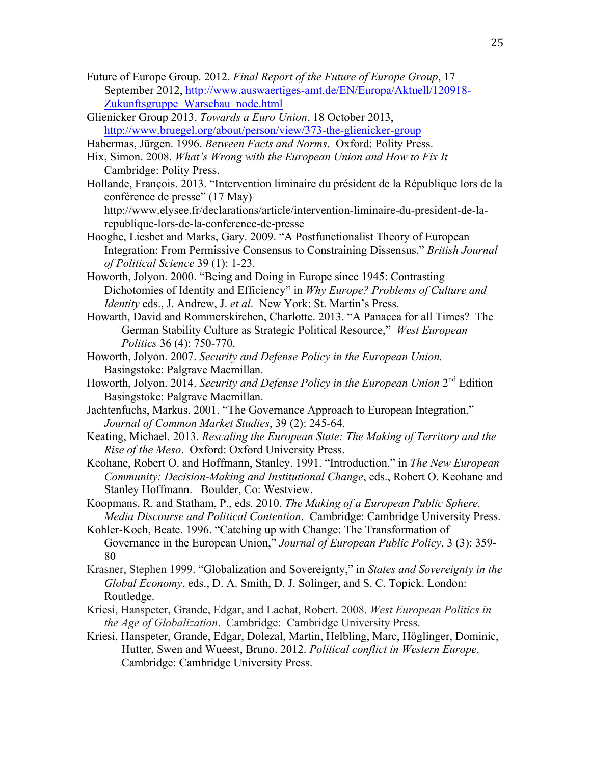- Future of Europe Group. 2012. *Final Report of the Future of Europe Group*, 17 September 2012, http://www.auswaertiges-amt.de/EN/Europa/Aktuell/120918- Zukunftsgruppe\_Warschau\_node.html
- Glienicker Group 2013. *Towards a Euro Union*, 18 October 2013, http://www.bruegel.org/about/person/view/373-the-glienicker-group

Habermas, Jürgen. 1996. *Between Facts and Norms*. Oxford: Polity Press.

- Hix, Simon. 2008. *What's Wrong with the European Union and How to Fix It* Cambridge: Polity Press.
- Hollande, François. 2013. "Intervention liminaire du président de la République lors de la conférence de presse" (17 May) http://www.elysee.fr/declarations/article/intervention-liminaire-du-president-de-larepublique-lors-de-la-conference-de-presse
- Hooghe, Liesbet and Marks, Gary. 2009. "A Postfunctionalist Theory of European Integration: From Permissive Consensus to Constraining Dissensus," *British Journal of Political Science* 39 (1): 1-23.
- Howorth, Jolyon. 2000. "Being and Doing in Europe since 1945: Contrasting Dichotomies of Identity and Efficiency" in *Why Europe? Problems of Culture and Identity* eds., J. Andrew, J. *et al*. New York: St. Martin's Press.
- Howarth, David and Rommerskirchen, Charlotte. 2013. "A Panacea for all Times? The German Stability Culture as Strategic Political Resource," *West European Politics* 36 (4): 750-770.
- Howorth, Jolyon. 2007. *Security and Defense Policy in the European Union.* Basingstoke: Palgrave Macmillan.
- Howorth, Jolyon. 2014. *Security and Defense Policy in the European Union* 2nd Edition Basingstoke: Palgrave Macmillan.
- Jachtenfuchs, Markus. 2001. "The Governance Approach to European Integration," *Journal of Common Market Studies*, 39 (2): 245-64.
- Keating, Michael. 2013. *Rescaling the European State: The Making of Territory and the Rise of the Meso*. Oxford: Oxford University Press.
- Keohane, Robert O. and Hoffmann, Stanley. 1991. "Introduction," in *The New European Community: Decision-Making and Institutional Change*, eds., Robert O. Keohane and Stanley Hoffmann. Boulder, Co: Westview.
- Koopmans, R. and Statham, P., eds. 2010. *The Making of a European Public Sphere. Media Discourse and Political Contention*. Cambridge: Cambridge University Press.
- Kohler-Koch, Beate. 1996. "Catching up with Change: The Transformation of Governance in the European Union," *Journal of European Public Policy*, 3 (3): 359- 80
- Krasner, Stephen 1999. "Globalization and Sovereignty," in *States and Sovereignty in the Global Economy*, eds., D. A. Smith, D. J. Solinger, and S. C. Topick. London: Routledge.
- Kriesi, Hanspeter, Grande, Edgar, and Lachat, Robert. 2008. *West European Politics in the Age of Globalization*. Cambridge: Cambridge University Press.
- Kriesi, Hanspeter, Grande, Edgar, Dolezal, Martin, Helbling, Marc, Höglinger, Dominic, Hutter, Swen and Wueest, Bruno. 2012. *Political conflict in Western Europe*. Cambridge: Cambridge University Press.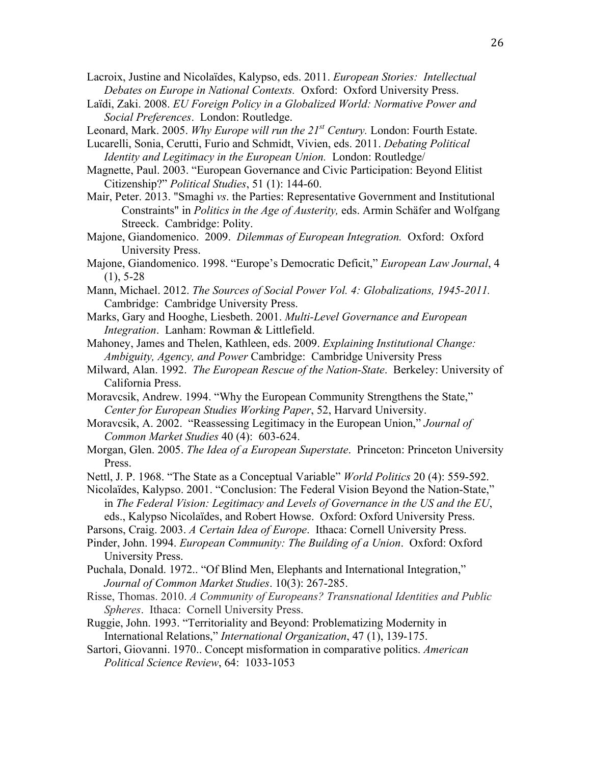- Lacroix, Justine and Nicolaïdes, Kalypso, eds. 2011. *European Stories: Intellectual Debates on Europe in National Contexts.* Oxford: Oxford University Press.
- Laïdi, Zaki. 2008. *EU Foreign Policy in a Globalized World: Normative Power and Social Preferences*. London: Routledge.

Leonard, Mark. 2005. *Why Europe will run the 21st Century.* London: Fourth Estate.

Lucarelli, Sonia, Cerutti, Furio and Schmidt, Vivien, eds. 2011. *Debating Political Identity and Legitimacy in the European Union.* London: Routledge/

- Magnette, Paul. 2003. "European Governance and Civic Participation: Beyond Elitist Citizenship?" *Political Studies*, 51 (1): 144-60.
- Mair, Peter. 2013. "Smaghi *vs*. the Parties: Representative Government and Institutional Constraints" in *Politics in the Age of Austerity,* eds. Armin Schäfer and Wolfgang Streeck. Cambridge: Polity.
- Majone, Giandomenico. 2009. *Dilemmas of European Integration.* Oxford: Oxford University Press.
- Majone, Giandomenico. 1998. "Europe's Democratic Deficit," *European Law Journal*, 4 (1), 5-28
- Mann, Michael. 2012. *The Sources of Social Power Vol. 4: Globalizations, 1945-2011.* Cambridge: Cambridge University Press.
- Marks, Gary and Hooghe, Liesbeth. 2001. *Multi-Level Governance and European Integration*. Lanham: Rowman & Littlefield.
- Mahoney, James and Thelen, Kathleen, eds. 2009. *Explaining Institutional Change: Ambiguity, Agency, and Power* Cambridge: Cambridge University Press
- Milward, Alan. 1992. *The European Rescue of the Nation-State*. Berkeley: University of California Press.
- Moravcsik, Andrew. 1994. "Why the European Community Strengthens the State," *Center for European Studies Working Paper*, 52, Harvard University.
- Moravcsik, A. 2002. "Reassessing Legitimacy in the European Union," *Journal of Common Market Studies* 40 (4): 603-624.
- Morgan, Glen. 2005. *The Idea of a European Superstate*. Princeton: Princeton University Press.
- Nettl, J. P. 1968. "The State as a Conceptual Variable" *World Politics* 20 (4): 559-592.

Nicolaïdes, Kalypso. 2001. "Conclusion: The Federal Vision Beyond the Nation-State," in *The Federal Vision: Legitimacy and Levels of Governance in the US and the EU*, eds., Kalypso Nicolaïdes, and Robert Howse. Oxford: Oxford University Press.

- Parsons, Craig. 2003. *A Certain Idea of Europe*. Ithaca: Cornell University Press.
- Pinder, John. 1994. *European Community: The Building of a Union*. Oxford: Oxford University Press.
- Puchala, Donald. 1972.. "Of Blind Men, Elephants and International Integration," *Journal of Common Market Studies*. 10(3): 267-285.
- Risse, Thomas. 2010. *A Community of Europeans? Transnational Identities and Public Spheres*. Ithaca: Cornell University Press.
- Ruggie, John. 1993. "Territoriality and Beyond: Problematizing Modernity in International Relations," *International Organization*, 47 (1), 139-175.
- Sartori, Giovanni. 1970.. Concept misformation in comparative politics. *American Political Science Review*, 64: 1033-1053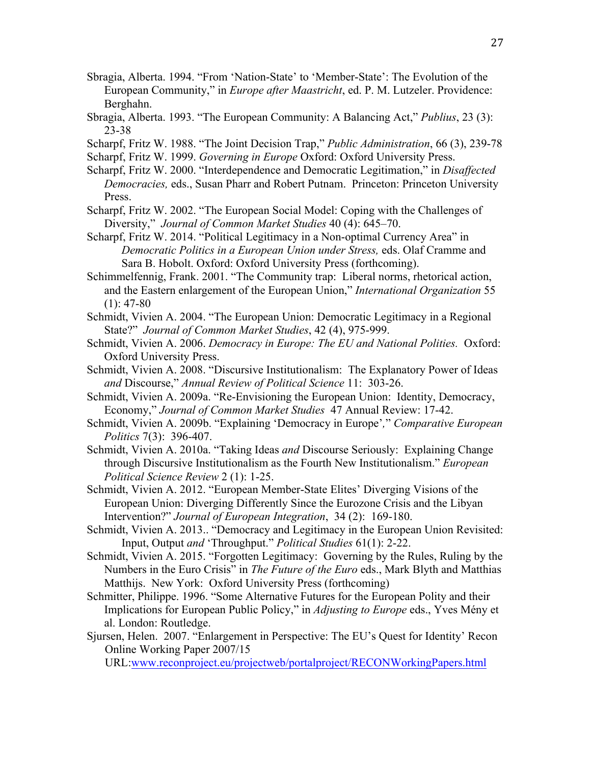- Sbragia, Alberta. 1994. "From 'Nation-State' to 'Member-State': The Evolution of the European Community," in *Europe after Maastricht*, ed. P. M. Lutzeler. Providence: Berghahn.
- Sbragia, Alberta. 1993. "The European Community: A Balancing Act," *Publius*, 23 (3): 23-38
- Scharpf, Fritz W. 1988. "The Joint Decision Trap," *Public Administration*, 66 (3), 239-78
- Scharpf, Fritz W. 1999. *Governing in Europe* Oxford: Oxford University Press.
- Scharpf, Fritz W. 2000. "Interdependence and Democratic Legitimation," in *Disaffected Democracies,* eds., Susan Pharr and Robert Putnam.Princeton: Princeton University Press.
- Scharpf, Fritz W. 2002. "The European Social Model: Coping with the Challenges of Diversity," *Journal of Common Market Studies* 40 (4): 645–70.
- Scharpf, Fritz W. 2014. "Political Legitimacy in a Non-optimal Currency Area" in *Democratic Politics in a European Union under Stress,* eds. Olaf Cramme and Sara B. Hobolt. Oxford: Oxford University Press (forthcoming).
- Schimmelfennig, Frank. 2001. "The Community trap: Liberal norms, rhetorical action, and the Eastern enlargement of the European Union," *International Organization* 55  $(1): 47-80$
- Schmidt, Vivien A. 2004. "The European Union: Democratic Legitimacy in a Regional State?" *Journal of Common Market Studies*, 42 (4), 975-999.
- Schmidt, Vivien A. 2006. *Democracy in Europe: The EU and National Polities.* Oxford: Oxford University Press.
- Schmidt, Vivien A. 2008. "Discursive Institutionalism: The Explanatory Power of Ideas *and* Discourse," *Annual Review of Political Science* 11: 303-26.
- Schmidt, Vivien A. 2009a. "Re-Envisioning the European Union: Identity, Democracy, Economy," *Journal of Common Market Studies* 47 Annual Review: 17-42.
- Schmidt, Vivien A. 2009b. "Explaining 'Democracy in Europe'*,*" *Comparative European Politics* 7(3): 396-407.
- Schmidt, Vivien A. 2010a. "Taking Ideas *and* Discourse Seriously: Explaining Change through Discursive Institutionalism as the Fourth New Institutionalism." *European Political Science Review* 2 (1): 1-25.
- Schmidt, Vivien A. 2012. "European Member-State Elites' Diverging Visions of the European Union: Diverging Differently Since the Eurozone Crisis and the Libyan Intervention?" *Journal of European Integration*, 34 (2): 169-180.
- Schmidt, Vivien A. 2013.. "Democracy and Legitimacy in the European Union Revisited: Input, Output *and* 'Throughput." *Political Studies* 61(1): 2-22.
- Schmidt, Vivien A. 2015. "Forgotten Legitimacy: Governing by the Rules, Ruling by the Numbers in the Euro Crisis" in *The Future of the Euro* eds., Mark Blyth and Matthias Matthijs. New York: Oxford University Press (forthcoming)
- Schmitter, Philippe. 1996. "Some Alternative Futures for the European Polity and their Implications for European Public Policy," in *Adjusting to Europe* eds., Yves Mény et al. London: Routledge.
- Sjursen, Helen. 2007. "Enlargement in Perspective: The EU's Quest for Identity' Recon Online Working Paper 2007/15

URL:www.reconproject.eu/projectweb/portalproject/RECONWorkingPapers.html